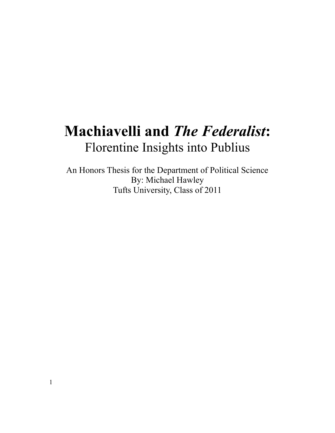# **Machiavelli and** *The Federalist***:** Florentine Insights into Publius

An Honors Thesis for the Department of Political Science By: Michael Hawley Tufts University, Class of 2011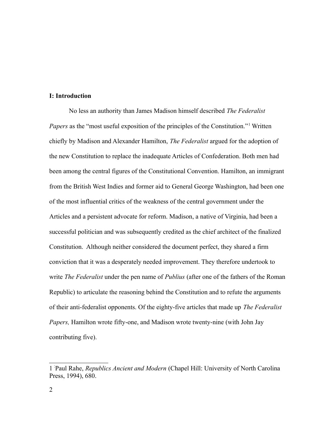#### **I: Introduction**

No less an authority than James Madison himself described *The Federalist* Papers as the "most useful exposition of the principles of the Constitution."<sup>[1](#page-1-0)</sup> Written chiefly by Madison and Alexander Hamilton, *The Federalist* argued for the adoption of the new Constitution to replace the inadequate Articles of Confederation. Both men had been among the central figures of the Constitutional Convention. Hamilton, an immigrant from the British West Indies and former aid to General George Washington, had been one of the most influential critics of the weakness of the central government under the Articles and a persistent advocate for reform. Madison, a native of Virginia, had been a successful politician and was subsequently credited as the chief architect of the finalized Constitution. Although neither considered the document perfect, they shared a firm conviction that it was a desperately needed improvement. They therefore undertook to write *The Federalist* under the pen name of *Publius* (after one of the fathers of the Roman Republic) to articulate the reasoning behind the Constitution and to refute the arguments of their anti-federalist opponents. Of the eighty-five articles that made up *The Federalist Papers,* Hamilton wrote fifty-one, and Madison wrote twenty-nine (with John Jay contributing five).

<span id="page-1-0"></span><sup>1</sup> - Paul Rahe, *Republics Ancient and Modern* (Chapel Hill: University of North Carolina Press, 1994), 680.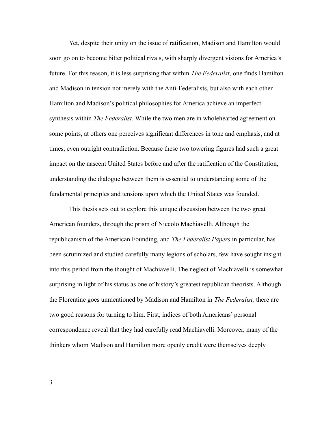Yet, despite their unity on the issue of ratification, Madison and Hamilton would soon go on to become bitter political rivals, with sharply divergent visions for America's future. For this reason, it is less surprising that within *The Federalist*, one finds Hamilton and Madison in tension not merely with the Anti-Federalists, but also with each other. Hamilton and Madison's political philosophies for America achieve an imperfect synthesis within *The Federalist*. While the two men are in wholehearted agreement on some points, at others one perceives significant differences in tone and emphasis, and at times, even outright contradiction. Because these two towering figures had such a great impact on the nascent United States before and after the ratification of the Constitution, understanding the dialogue between them is essential to understanding some of the fundamental principles and tensions upon which the United States was founded.

This thesis sets out to explore this unique discussion between the two great American founders, through the prism of Niccolo Machiavelli. Although the republicanism of the American Founding, and *The Federalist Papers* in particular, has been scrutinized and studied carefully many legions of scholars, few have sought insight into this period from the thought of Machiavelli. The neglect of Machiavelli is somewhat surprising in light of his status as one of history's greatest republican theorists. Although the Florentine goes unmentioned by Madison and Hamilton in *The Federalist,* there are two good reasons for turning to him. First, indices of both Americans' personal correspondence reveal that they had carefully read Machiavelli. Moreover, many of the thinkers whom Madison and Hamilton more openly credit were themselves deeply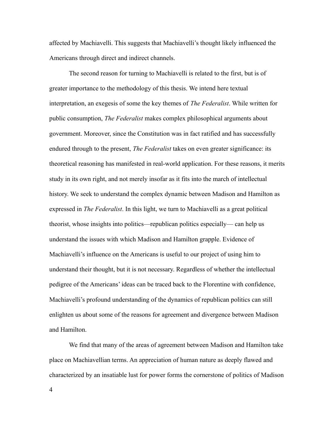affected by Machiavelli. This suggests that Machiavelli's thought likely influenced the Americans through direct and indirect channels.

The second reason for turning to Machiavelli is related to the first, but is of greater importance to the methodology of this thesis. We intend here textual interpretation, an exegesis of some the key themes of *The Federalist*. While written for public consumption, *The Federalist* makes complex philosophical arguments about government. Moreover, since the Constitution was in fact ratified and has successfully endured through to the present, *The Federalist* takes on even greater significance: its theoretical reasoning has manifested in real-world application. For these reasons, it merits study in its own right, and not merely insofar as it fits into the march of intellectual history. We seek to understand the complex dynamic between Madison and Hamilton as expressed in *The Federalist*. In this light, we turn to Machiavelli as a great political theorist, whose insights into politics—republican politics especially— can help us understand the issues with which Madison and Hamilton grapple. Evidence of Machiavelli's influence on the Americans is useful to our project of using him to understand their thought, but it is not necessary. Regardless of whether the intellectual pedigree of the Americans' ideas can be traced back to the Florentine with confidence, Machiavelli's profound understanding of the dynamics of republican politics can still enlighten us about some of the reasons for agreement and divergence between Madison and Hamilton.

We find that many of the areas of agreement between Madison and Hamilton take place on Machiavellian terms. An appreciation of human nature as deeply flawed and characterized by an insatiable lust for power forms the cornerstone of politics of Madison

4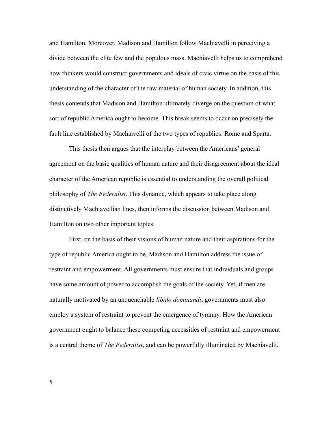and Hamilton. Moreover, Madison and Hamilton follow Machiavelli in perceiving a divide between the elite few and the populous mass. Machiavelli helps us to comprehend how thinkers would construct governments and ideals of civic virtue on the basis of this understanding of the character of the raw material of human society. In addition, this thesis contends that Madison and Hamilton ultimately diverge on the question of what sort of republic America ought to become. This break seems to occur on precisely the fault line established by Machiavelli of the two types of republics: Rome and Sparta.

This thesis then argues that the interplay between the Americans' general agreement on the basic qualities of human nature and their disagreement about the ideal character of the American republic is essential to understanding the overall political philosophy of *The Federalist*. This dynamic, which appears to take place along distinctively Machiavellian lines, then informs the discussion between Madison and Hamilton on two other important topics.

First, on the basis of their visions of human nature and their aspirations for the type of republic America ought to be, Madison and Hamilton address the issue of restraint and empowerment. All governments must ensure that individuals and groups have some amount of power to accomplish the goals of the society. Yet, if men are naturally motivated by an unquenchable *libido dominandi*, governments must also employ a system of restraint to prevent the emergence of tyranny. How the American government ought to balance these competing necessities of restraint and empowerment is a central theme of *The Federalist*, and can be powerfully illuminated by Machiavelli.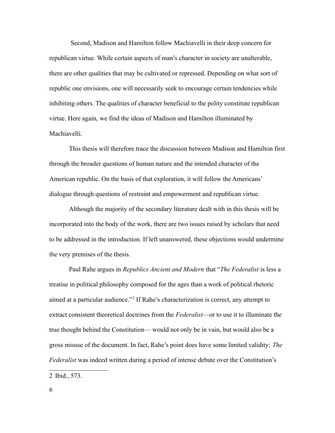Second, Madison and Hamilton follow Machiavelli in their deep concern for republican virtue. While certain aspects of man's character in society are unalterable, there are other qualities that may be cultivated or repressed. Depending on what sort of republic one envisions, one will necessarily seek to encourage certain tendencies while inhibiting others. The qualities of character beneficial to the polity constitute republican virtue. Here again, we find the ideas of Madison and Hamilton illuminated by Machiavelli.

This thesis will therefore trace the discussion between Madison and Hamilton first through the broader questions of human nature and the intended character of the American republic. On the basis of that exploration, it will follow the Americans' dialogue through questions of restraint and empowerment and republican virtue.

Although the majority of the secondary literature dealt with in this thesis will be incorporated into the body of the work, there are two issues raised by scholars that need to be addressed in the introduction. If left unanswered, these objections would undermine the very premises of the thesis.

Paul Rahe argues in *Republics Ancient and Modern* that "*The Federalist* is less a treatise in political philosophy composed for the ages than a work of political rhetoric aimed at a particular audience."[2](#page-5-0) If Rahe's characterization is correct, any attempt to extract consistent theoretical doctrines from the *Federalist*—or to use it to illuminate the true thought behind the Constitution— would not only be in vain, but would also be a gross misuse of the document. In fact, Rahe's point does have some limited validity; *The Federalist* was indeed written during a period of intense debate over the Constitution's

<span id="page-5-0"></span><sup>2</sup> - Ibid., 573.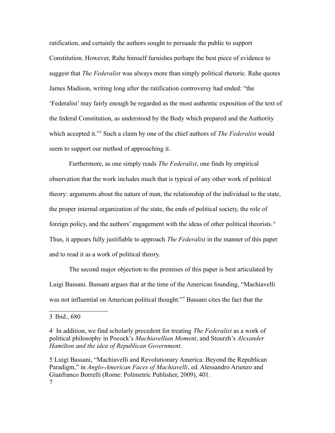ratification, and certainly the authors sought to persuade the public to support Constitution. However, Rahe himself furnishes perhaps the best piece of evidence to suggest that *The Federalist* was always more than simply political rhetoric. Rahe quotes James Madison, writing long after the ratification controversy had ended: "the 'Federalist' may fairly enough be regarded as the most authentic exposition of the text of the federal Constitution, as understood by the Body which prepared and the Authority which accepted it."[3](#page-6-0) Such a claim by one of the chief authors of *The Federalist* would seem to support our method of approaching it.

Furthermore, as one simply reads *The Federalist*, one finds by empirical observation that the work includes much that is typical of any other work of political theory: arguments about the nature of man, the relationship of the individual to the state, the proper internal organization of the state, the ends of political society, the role of foreign policy, and the authors' engagement with the ideas of other political theorists. [4](#page-6-1) Thus, it appears fully justifiable to approach *The Federalist* in the manner of this paper and to read it as a work of political theory.

The second major objection to the premises of this paper is best articulated by Luigi Bassani. Bassani argues that at the time of the American founding, "Machiavelli was not influential on American political thought."<sup>[5](#page-6-2)</sup> Bassani cites the fact that the

<span id="page-6-0"></span>3 - Ibid., 680

<span id="page-6-1"></span><sup>4</sup> - In addition, we find scholarly precedent for treating *The Federalist* as a work of political philosophy in Pocock's *Machiavellian Moment*, and Stourzh's *Alexander Hamilton and the idea of Republican Government*.

<span id="page-6-2"></span><sup>5</sup> -Luigi Bassani, "Machiavelli and Revolutionary America: Beyond the Republican Paradigm," in *Anglo-American Faces of Machiavelli*, ed. Alessandro Arienzo and Gianfranco Borrelli (Rome: Polimetric Publisher, 2009), 401. 7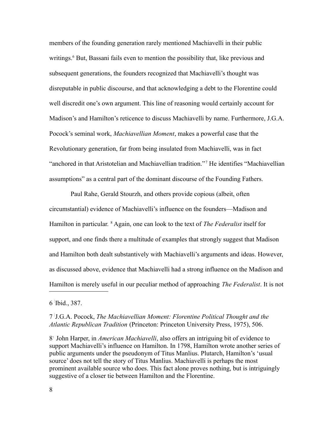members of the founding generation rarely mentioned Machiavelli in their public writings.<sup>[6](#page-7-0)</sup> But, Bassani fails even to mention the possibility that, like previous and subsequent generations, the founders recognized that Machiavelli's thought was disreputable in public discourse, and that acknowledging a debt to the Florentine could well discredit one's own argument. This line of reasoning would certainly account for Madison's and Hamilton's reticence to discuss Machiavelli by name. Furthermore, J.G.A. Pocock's seminal work, *Machiavellian Moment*, makes a powerful case that the Revolutionary generation, far from being insulated from Machiavelli, was in fact "anchored in that Aristotelian and Machiavellian tradition."<sup>[7](#page-7-1)</sup> He identifies "Machiavellian assumptions" as a central part of the dominant discourse of the Founding Fathers.

 Paul Rahe, Gerald Stourzh, and others provide copious (albeit, often circumstantial) evidence of Machiavelli's influence on the founders—Madison and Hamilton in particular. <sup>[8](#page-7-2)</sup> Again, one can look to the text of *The Federalist* itself for support, and one finds there a multitude of examples that strongly suggest that Madison and Hamilton both dealt substantively with Machiavelli's arguments and ideas. However, as discussed above, evidence that Machiavelli had a strong influence on the Madison and Hamilton is merely useful in our peculiar method of approaching *The Federalist*. It is not

<span id="page-7-0"></span>6 - Ibid., 387.

### <span id="page-7-1"></span>7 - J.G.A. Pocock, *The Machiavellian Moment: Florentine Political Thought and the Atlantic Republican Tradition* (Princeton: Princeton University Press, 1975), 506.

<span id="page-7-2"></span>8 - John Harper, in *American Machiavelli*, also offers an intriguing bit of evidence to support Machiavelli's influence on Hamilton. In 1798, Hamilton wrote another series of public arguments under the pseudonym of Titus Manlius. Plutarch, Hamilton's 'usual source' does not tell the story of Titus Manlius. Machiavelli is perhaps the most prominent available source who does. This fact alone proves nothing, but is intriguingly suggestive of a closer tie between Hamilton and the Florentine.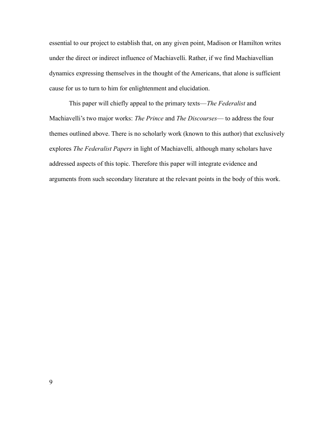essential to our project to establish that, on any given point, Madison or Hamilton writes under the direct or indirect influence of Machiavelli. Rather, if we find Machiavellian dynamics expressing themselves in the thought of the Americans, that alone is sufficient cause for us to turn to him for enlightenment and elucidation.

This paper will chiefly appeal to the primary texts—*The Federalist* and Machiavelli's two major works: *The Prince* and *The Discourses*— to address the four themes outlined above. There is no scholarly work (known to this author) that exclusively explores *The Federalist Papers* in light of Machiavelli*,* although many scholars have addressed aspects of this topic. Therefore this paper will integrate evidence and arguments from such secondary literature at the relevant points in the body of this work.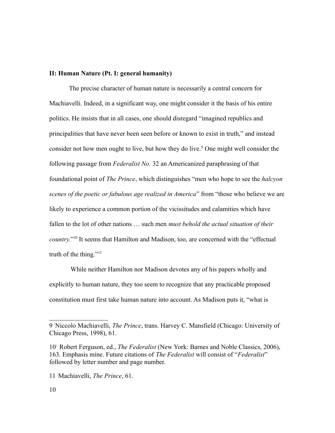### **II: Human Nature (Pt. I: general humanity)**

The precise character of human nature is necessarily a central concern for Machiavelli. Indeed, in a significant way, one might consider it the basis of his entire politics. He insists that in all cases, one should disregard "imagined republics and principalities that have never been seen before or known to exist in truth," and instead consider not how men ought to live, but how they do live.<sup>[9](#page-9-0)</sup> One might well consider the following passage from *Federalist No.* 32 an Americanized paraphrasing of that foundational point of *The Prince*, which distinguishes "men who hope to see the *halcyon scenes of the poetic or fabulous age realized in America*" from "those who believe we are likely to experience a common portion of the vicissitudes and calamities which have fallen to the lot of other nations … such men *must behold the actual situation of their country.*" [10](#page-9-1) It seems that Hamilton and Madison, too, are concerned with the "effectual truth of the thing." $11$ 

 While neither Hamilton nor Madison devotes any of his papers wholly and explicitly to human nature, they too seem to recognize that any practicable proposed constitution must first take human nature into account. As Madison puts it, "what is

<span id="page-9-0"></span><sup>9</sup> - Niccolo Machiavelli, *The Prince*, trans. Harvey C. Mansfield (Chicago: University of Chicago Press, 1998), 61.

<span id="page-9-1"></span><sup>10&</sup>lt;sup>T</sup> Robert Ferguson, ed., *The Federalist* (New York: Barnes and Noble Classics, 2006), 163*.* Emphasis mine. Future citations of *The Federalist* will consist of "*Federalist*" followed by letter number and page number.

<span id="page-9-2"></span><sup>11</sup>- Machiavelli, *The Prince*, 61.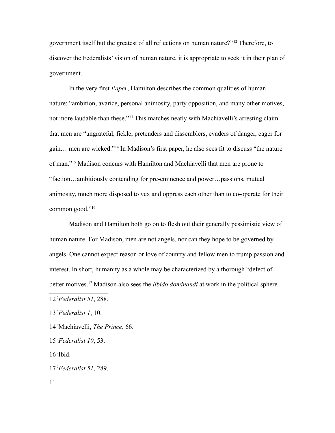government itself but the greatest of all reflections on human nature?" [12](#page-10-0) Therefore, to discover the Federalists' vision of human nature, it is appropriate to seek it in their plan of government.

In the very first *Paper*, Hamilton describes the common qualities of human nature: "ambition, avarice, personal animosity, party opposition, and many other motives, not more laudable than these."<sup>[13](#page-10-1)</sup> This matches neatly with Machiavelli's arresting claim that men are "ungrateful, fickle, pretenders and dissemblers, evaders of danger, eager for gain… men are wicked."[14](#page-10-2) In Madison's first paper, he also sees fit to discuss "the nature of man."[15](#page-10-3) Madison concurs with Hamilton and Machiavelli that men are prone to "faction…ambitiously contending for pre-eminence and power…passions, mutual animosity, much more disposed to vex and oppress each other than to co-operate for their common good."[16](#page-10-4)

Madison and Hamilton both go on to flesh out their generally pessimistic view of human nature. For Madison, men are not angels, nor can they hope to be governed by angels. One cannot expect reason or love of country and fellow men to trump passion and interest. In short, humanity as a whole may be characterized by a thorough "defect of better motives.[17](#page-10-5) Madison also sees the *libido dominandi* at work in the political sphere.

<span id="page-10-1"></span>13-*Federalist 1*, 10.

- <span id="page-10-2"></span>14- Machiavelli, *The Prince*, 66.
- <span id="page-10-3"></span>15-*Federalist 10*, 53.

<span id="page-10-4"></span>16- Ibid.

<span id="page-10-5"></span>17-*Federalist 51*, 289.

11

<span id="page-10-0"></span><sup>12</sup>-*Federalist 51*, 288.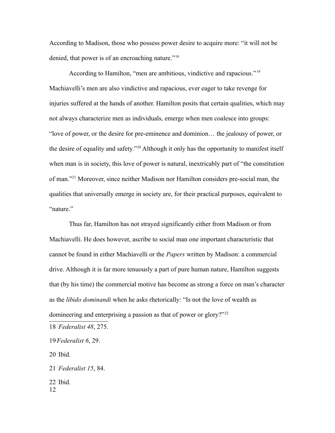According to Madison, those who possess power desire to acquire more: "it will not be denied, that power is of an encroaching nature."<sup>[18](#page-11-0)</sup>

According to Hamilton, "men are ambitious, vindictive and rapacious."[19](#page-11-1) Machiavelli's men are also vindictive and rapacious, ever eager to take revenge for injuries suffered at the hands of another. Hamilton posits that certain qualities, which may not always characterize men as individuals, emerge when men coalesce into groups: "love of power, or the desire for pre-eminence and dominion… the jealousy of power, or the desire of equality and safety."[20](#page-11-2) Although it only has the opportunity to manifest itself when man is in society, this love of power is natural, inextricably part of "the constitution" of man."[21](#page-11-3) Moreover, since neither Madison nor Hamilton considers pre-social man, the qualities that universally emerge in society are, for their practical purposes, equivalent to "nature"

Thus far, Hamilton has not strayed significantly either from Madison or from Machiavelli. He does however, ascribe to social man one important characteristic that cannot be found in either Machiavelli or the *Papers* written by Madison: a commercial drive. Although it is far more tenuously a part of pure human nature, Hamilton suggests that (by his time) the commercial motive has become as strong a force on man's character as the *libido dominandi* when he asks rhetorically: "Is not the love of wealth as domineering and enterprising a passion as that of power or glory?"<sup>[22](#page-11-4)</sup>

<span id="page-11-0"></span>18-*Federalist 48*, 275.

<span id="page-11-1"></span>19-*Federalist 6*, 29.

<span id="page-11-2"></span>20- Ibid.

<span id="page-11-3"></span>21-*Federalist 15*, 84.

<span id="page-11-4"></span>22- Ibid. 12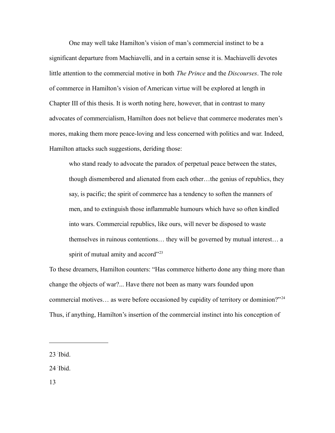One may well take Hamilton's vision of man's commercial instinct to be a significant departure from Machiavelli, and in a certain sense it is. Machiavelli devotes little attention to the commercial motive in both *The Prince* and the *Discourses*. The role of commerce in Hamilton's vision of American virtue will be explored at length in Chapter III of this thesis. It is worth noting here, however, that in contrast to many advocates of commercialism, Hamilton does not believe that commerce moderates men's mores, making them more peace-loving and less concerned with politics and war. Indeed, Hamilton attacks such suggestions, deriding those:

who stand ready to advocate the paradox of perpetual peace between the states, though dismembered and alienated from each other…the genius of republics, they say, is pacific; the spirit of commerce has a tendency to soften the manners of men, and to extinguish those inflammable humours which have so often kindled into wars. Commercial republics, like ours, will never be disposed to waste themselves in ruinous contentions… they will be governed by mutual interest… a spirit of mutual amity and accord"<sup>[23](#page-12-0)</sup>

To these dreamers, Hamilton counters: "Has commerce hitherto done any thing more than change the objects of war?... Have there not been as many wars founded upon commercial motives... as were before occasioned by cupidity of territory or dominion?"<sup>[24](#page-12-1)</sup> Thus, if anything, Hamilton's insertion of the commercial instinct into his conception of

<span id="page-12-0"></span>23- Ibid.

<span id="page-12-1"></span>24- Ibid.

13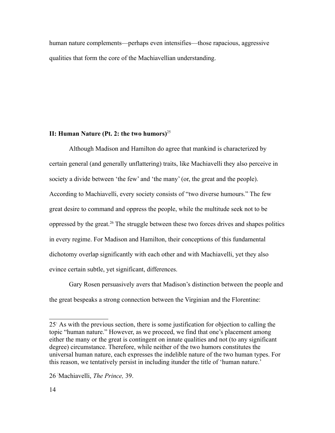human nature complements—perhaps even intensifies—those rapacious, aggressive qualities that form the core of the Machiavellian understanding.

## **II: Human Nature (Pt. 2: the two humors)**[25](#page-13-0)

Although Madison and Hamilton do agree that mankind is characterized by certain general (and generally unflattering) traits, like Machiavelli they also perceive in society a divide between 'the few' and 'the many' (or, the great and the people). According to Machiavelli, every society consists of "two diverse humours." The few great desire to command and oppress the people, while the multitude seek not to be oppressed by the great.[26](#page-13-1) The struggle between these two forces drives and shapes politics in every regime. For Madison and Hamilton, their conceptions of this fundamental dichotomy overlap significantly with each other and with Machiavelli, yet they also evince certain subtle, yet significant, differences.

Gary Rosen persuasively avers that Madison's distinction between the people and the great bespeaks a strong connection between the Virginian and the Florentine:

<span id="page-13-0"></span><sup>25&</sup>lt;sup>1</sup> As with the previous section, there is some justification for objection to calling the topic "human nature." However, as we proceed, we find that one's placement among either the many or the great is contingent on innate qualities and not (to any significant degree) circumstance. Therefore, while neither of the two humors constitutes the universal human nature, each expresses the indelible nature of the two human types. For this reason, we tentatively persist in including itunder the title of 'human nature.'

<span id="page-13-1"></span><sup>26</sup>- Machiavelli, *The Prince,* 39.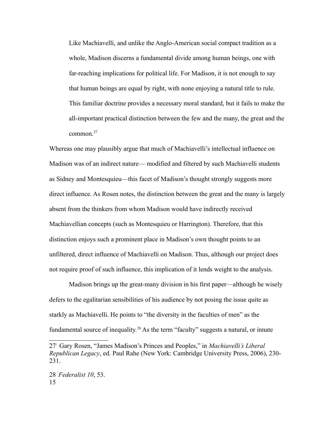Like Machiavelli, and unlike the Anglo-American social compact tradition as a whole, Madison discerns a fundamental divide among human beings, one with far-reaching implications for political life. For Madison, it is not enough to say that human beings are equal by right, with none enjoying a natural title to rule. This familiar doctrine provides a necessary moral standard, but it fails to make the all-important practical distinction between the few and the many, the great and the common.[27](#page-14-0)

Whereas one may plausibly argue that much of Machiavelli's intellectual influence on Madison was of an indirect nature— modified and filtered by such Machiavelli students as Sidney and Montesquieu—this facet of Madison's thought strongly suggests more direct influence. As Rosen notes, the distinction between the great and the many is largely absent from the thinkers from whom Madison would have indirectly received Machiavellian concepts (such as Montesquieu or Harrington). Therefore, that this distinction enjoys such a prominent place in Madison's own thought points to an unfiltered, direct influence of Machiavelli on Madison. Thus, although our project does not require proof of such influence, this implication of it lends weight to the analysis.

Madison brings up the great-many division in his first paper—although he wisely defers to the egalitarian sensibilities of his audience by not posing the issue quite as starkly as Machiavelli. He points to "the diversity in the faculties of men" as the fundamental source of inequality.<sup>[28](#page-14-1)</sup> As the term "faculty" suggests a natural, or innate

<span id="page-14-1"></span><span id="page-14-0"></span><sup>27</sup>- Gary Rosen, "James Madison's Princes and Peoples," in *Machiavelli's Liberal Republican Legacy*, ed. Paul Rahe (New York: Cambridge University Press, 2006), 230- 231.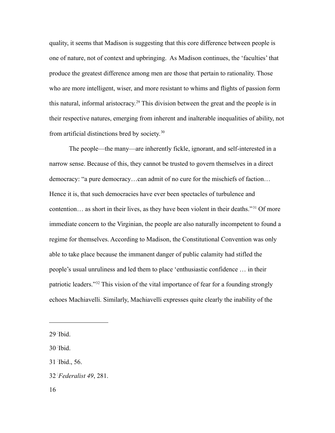quality, it seems that Madison is suggesting that this core difference between people is one of nature, not of context and upbringing. As Madison continues, the 'faculties' that produce the greatest difference among men are those that pertain to rationality. Those who are more intelligent, wiser, and more resistant to whims and flights of passion form this natural, informal aristocracy.<sup>[29](#page-15-0)</sup> This division between the great and the people is in their respective natures, emerging from inherent and inalterable inequalities of ability, not from artificial distinctions bred by society.[30](#page-15-1)

The people—the many—are inherently fickle, ignorant, and self-interested in a narrow sense. Because of this, they cannot be trusted to govern themselves in a direct democracy: "a pure democracy…can admit of no cure for the mischiefs of faction… Hence it is, that such democracies have ever been spectacles of turbulence and contention… as short in their lives, as they have been violent in their deaths."<sup>[31](#page-15-2)</sup> Of more immediate concern to the Virginian, the people are also naturally incompetent to found a regime for themselves. According to Madison, the Constitutional Convention was only able to take place because the immanent danger of public calamity had stifled the people's usual unruliness and led them to place 'enthusiastic confidence … in their patriotic leaders."[32](#page-15-3) This vision of the vital importance of fear for a founding strongly echoes Machiavelli. Similarly, Machiavelli expresses quite clearly the inability of the

<span id="page-15-0"></span><sup>29</sup>- Ibid.

<span id="page-15-1"></span><sup>30</sup>- Ibid.

<span id="page-15-2"></span><sup>31</sup>- Ibid., 56.

<span id="page-15-3"></span><sup>32</sup>-*Federalist 49*, 281.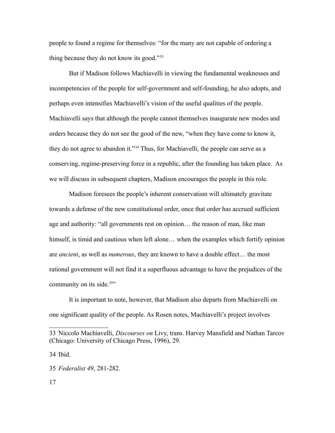people to found a regime for themselves: "for the many are not capable of ordering a thing because they do not know its good."[33](#page-16-0)

But if Madison follows Machiavelli in viewing the fundamental weaknesses and incompetencies of the people for self-government and self-founding, he also adopts, and perhaps even intensifies Machiavelli's vision of the useful qualities of the people. Machiavelli says that although the people cannot themselves inaugurate new modes and orders because they do not see the good of the new, "when they have come to know it, they do not agree to abandon it."[34](#page-16-1) Thus, for Machiavelli, the people can serve as a conserving, regime-preserving force in a republic, after the founding has taken place. As we will discuss in subsequent chapters, Madison encourages the people in this role.

Madison foresees the people's inherent conservatism will ultimately gravitate towards a defense of the new constitutional order, once that order has accrued sufficient age and authority: "all governments rest on opinion… the reason of man, like man himself, is timid and cautious when left alone... when the examples which fortify opinion are *ancient*, as well as *numerous*, they are known to have a double effect… the most rational government will not find it a superfluous advantage to have the prejudices of the community on its side.<sup>[35](#page-16-2)</sup>"

It is important to note, however, that Madison also departs from Machiavelli on one significant quality of the people. As Rosen notes, Machiavelli's project involves

<span id="page-16-1"></span>34- Ibid.

<span id="page-16-0"></span><sup>33</sup>- Niccolo Machiavelli, *Discourses on* Livy, trans. Harvey Mansfield and Nathan Tarcov (Chicago: University of Chicago Press, 1996), 29.

<span id="page-16-2"></span><sup>35</sup>-*Federalist 49*, 281-282.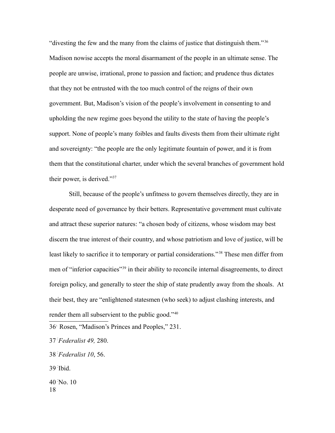"divesting the few and the many from the claims of justice that distinguish them." [36](#page-17-0) Madison nowise accepts the moral disarmament of the people in an ultimate sense. The people are unwise, irrational, prone to passion and faction; and prudence thus dictates that they not be entrusted with the too much control of the reigns of their own government. But, Madison's vision of the people's involvement in consenting to and upholding the new regime goes beyond the utility to the state of having the people's support. None of people's many foibles and faults divests them from their ultimate right and sovereignty: "the people are the only legitimate fountain of power, and it is from them that the constitutional charter, under which the several branches of government hold their power, is derived."[37](#page-17-1)

Still, because of the people's unfitness to govern themselves directly, they are in desperate need of governance by their betters. Representative government must cultivate and attract these superior natures: "a chosen body of citizens, whose wisdom may best discern the true interest of their country, and whose patriotism and love of justice, will be least likely to sacrifice it to temporary or partial considerations."<sup>[38](#page-17-2)</sup> These men differ from men of "inferior capacities"[39](#page-17-3) in their ability to reconcile internal disagreements, to direct foreign policy, and generally to steer the ship of state prudently away from the shoals. At their best, they are "enlightened statesmen (who seek) to adjust clashing interests, and render them all subservient to the public good."<sup>[40](#page-17-4)</sup>

<span id="page-17-3"></span>39- Ibid.

<span id="page-17-4"></span>40- No. 10 18

<span id="page-17-0"></span><sup>36</sup>- Rosen, "Madison's Princes and Peoples," 231.

<span id="page-17-1"></span><sup>37</sup>-*Federalist 49,* 280.

<span id="page-17-2"></span><sup>38</sup>-*Federalist 10*, 56.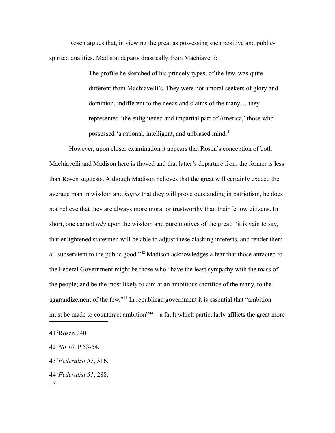Rosen argues that, in viewing the great as possessing such positive and publicspirited qualities, Madison departs drastically from Machiavelli:

> The profile he sketched of his princely types, of the few, was quite different from Machiavelli's. They were not amoral seekers of glory and dominion, indifferent to the needs and claims of the many… they represented 'the enlightened and impartial part of America,' those who possessed 'a rational, intelligent, and unbiased mind.[41](#page-18-0)

However, upon closer examination it appears that Rosen's conception of both Machiavelli and Madison here is flawed and that latter's departure from the former is less than Rosen suggests. Although Madison believes that the great will certainly exceed the average man in wisdom and *hopes* that they will prove outstanding in patriotism, he does not believe that they are always more moral or trustworthy than their fellow citizens. In short, one cannot *rely* upon the wisdom and pure motives of the great: "it is vain to say, that enlightened statesmen will be able to adjust these clashing interests, and render them all subservient to the public good."[42](#page-18-1) Madison acknowledges a fear that those attracted to the Federal Government might be those who "have the least sympathy with the mass of the people; and be the most likely to aim at an ambitious sacrifice of the many, to the aggrandizement of the few."[43](#page-18-2) In republican government it is essential that "ambition must be made to counteract ambition<sup>2[44](#page-18-3)</sup>—a fault which particularly afflicts the great more

<span id="page-18-0"></span><sup>41</sup>- Rosen 240

<span id="page-18-1"></span><sup>42</sup>-*No 10*. P 53-54.

<span id="page-18-2"></span><sup>43</sup>-*Federalist 57*, 316.

<span id="page-18-3"></span><sup>44</sup>-*Federalist 51*, 288. 19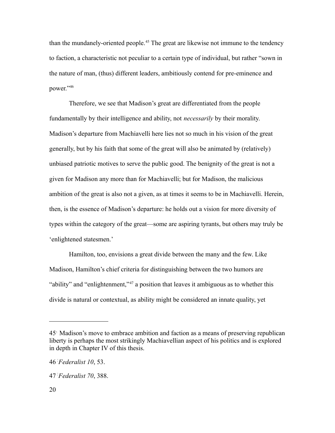than the mundanely-oriented people.<sup>[45](#page-19-0)</sup> The great are likewise not immune to the tendency to faction, a characteristic not peculiar to a certain type of individual, but rather "sown in the nature of man, (thus) different leaders, ambitiously contend for pre-eminence and power."[46](#page-19-1)

Therefore, we see that Madison's great are differentiated from the people fundamentally by their intelligence and ability, not *necessarily* by their morality. Madison's departure from Machiavelli here lies not so much in his vision of the great generally, but by his faith that some of the great will also be animated by (relatively) unbiased patriotic motives to serve the public good. The benignity of the great is not a given for Madison any more than for Machiavelli; but for Madison, the malicious ambition of the great is also not a given, as at times it seems to be in Machiavelli. Herein, then, is the essence of Madison's departure: he holds out a vision for more diversity of types within the category of the great—some are aspiring tyrants, but others may truly be 'enlightened statesmen.'

Hamilton, too, envisions a great divide between the many and the few. Like Madison, Hamilton's chief criteria for distinguishing between the two humors are "ability" and "enlightenment,"<sup>[47](#page-19-2)</sup> a position that leaves it ambiguous as to whether this divide is natural or contextual, as ability might be considered an innate quality, yet

<span id="page-19-0"></span><sup>45&</sup>lt;sup>1</sup> Madison's move to embrace ambition and faction as a means of preserving republican liberty is perhaps the most strikingly Machiavellian aspect of his politics and is explored in depth in Chapter IV of this thesis.

<span id="page-19-1"></span><sup>46</sup>-*Federalist 10*, 53.

<span id="page-19-2"></span><sup>47</sup>-*Federalist 70*, 388.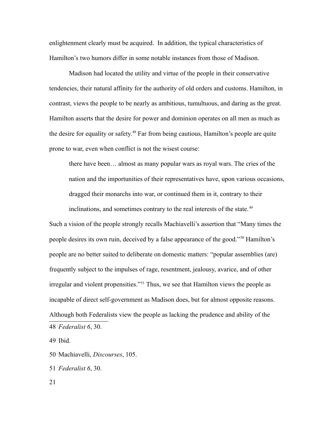enlightenment clearly must be acquired. In addition, the typical characteristics of Hamilton's two humors differ in some notable instances from those of Madison.

Madison had located the utility and virtue of the people in their conservative tendencies, their natural affinity for the authority of old orders and customs. Hamilton, in contrast, views the people to be nearly as ambitious, tumultuous, and daring as the great. Hamilton asserts that the desire for power and dominion operates on all men as much as the desire for equality or safety.[48](#page-20-0) Far from being cautious, Hamilton's people are quite prone to war, even when conflict is not the wisest course:

there have been… almost as many popular wars as royal wars. The cries of the nation and the importunities of their representatives have, upon various occasions, dragged their monarchs into war, or continued them in it, contrary to their inclinations, and sometimes contrary to the real interests of the state.<sup>[49](#page-20-1)</sup>

Such a vision of the people strongly recalls Machiavelli's assertion that "Many times the people desires its own ruin, deceived by a false appearance of the good."[50](#page-20-2) Hamilton's people are no better suited to deliberate on domestic matters: "popular assemblies (are) frequently subject to the impulses of rage, resentment, jealousy, avarice, and of other irregular and violent propensities."[51](#page-20-3) Thus, we see that Hamilton views the people as incapable of direct self-government as Madison does, but for almost opposite reasons. Although both Federalists view the people as lacking the prudence and ability of the 48-*Federalist 6*, 30.

<span id="page-20-1"></span><span id="page-20-0"></span>49- Ibid.

<span id="page-20-2"></span>50- Machiavelli, *Discourses*, 105.

<span id="page-20-3"></span>51-*Federalist 6*, 30.

21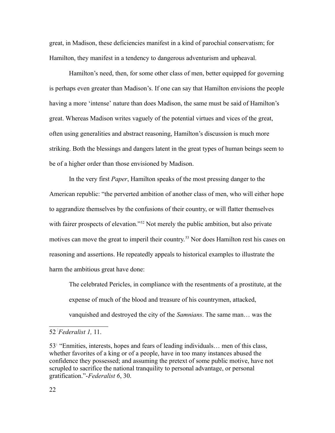great, in Madison, these deficiencies manifest in a kind of parochial conservatism; for Hamilton, they manifest in a tendency to dangerous adventurism and upheaval.

Hamilton's need, then, for some other class of men, better equipped for governing is perhaps even greater than Madison's. If one can say that Hamilton envisions the people having a more 'intense' nature than does Madison, the same must be said of Hamilton's great. Whereas Madison writes vaguely of the potential virtues and vices of the great, often using generalities and abstract reasoning, Hamilton's discussion is much more striking. Both the blessings and dangers latent in the great types of human beings seem to be of a higher order than those envisioned by Madison.

In the very first *Paper*, Hamilton speaks of the most pressing danger to the American republic: "the perverted ambition of another class of men, who will either hope to aggrandize themselves by the confusions of their country, or will flatter themselves with fairer prospects of elevation."<sup>[52](#page-21-0)</sup> Not merely the public ambition, but also private motives can move the great to imperil their country.<sup>[53](#page-21-1)</sup> Nor does Hamilton rest his cases on reasoning and assertions. He repeatedly appeals to historical examples to illustrate the harm the ambitious great have done:

The celebrated Pericles, in compliance with the resentments of a prostitute, at the expense of much of the blood and treasure of his countrymen, attacked, vanquished and destroyed the city of the *Samnians*. The same man… was the

<span id="page-21-0"></span><sup>52</sup>-*Federalist 1,* 11.

<span id="page-21-1"></span><sup>53&</sup>lt;sup>1</sup> "Enmities, interests, hopes and fears of leading individuals... men of this class, whether favorites of a king or of a people, have in too many instances abused the confidence they possessed; and assuming the pretext of some public motive, have not scrupled to sacrifice the national tranquility to personal advantage, or personal gratification."-*Federalist 6*, 30.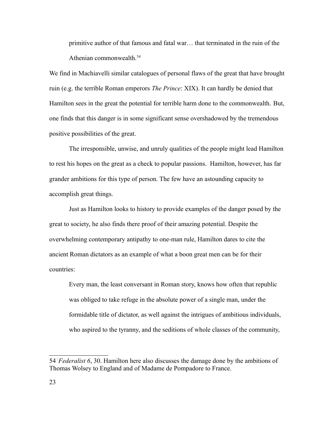primitive author of that famous and fatal war… that terminated in the ruin of the Athenian commonwealth.<sup>[54](#page-22-0)</sup>

We find in Machiavelli similar catalogues of personal flaws of the great that have brought ruin (e.g. the terrible Roman emperors *The Prince*: XIX). It can hardly be denied that Hamilton sees in the great the potential for terrible harm done to the commonwealth. But, one finds that this danger is in some significant sense overshadowed by the tremendous positive possibilities of the great.

The irresponsible, unwise, and unruly qualities of the people might lead Hamilton to rest his hopes on the great as a check to popular passions. Hamilton, however, has far grander ambitions for this type of person. The few have an astounding capacity to accomplish great things.

Just as Hamilton looks to history to provide examples of the danger posed by the great to society, he also finds there proof of their amazing potential. Despite the overwhelming contemporary antipathy to one-man rule, Hamilton dares to cite the ancient Roman dictators as an example of what a boon great men can be for their countries:

Every man, the least conversant in Roman story, knows how often that republic was obliged to take refuge in the absolute power of a single man, under the formidable title of dictator, as well against the intrigues of ambitious individuals, who aspired to the tyranny, and the seditions of whole classes of the community,

<span id="page-22-0"></span><sup>54</sup>-*Federalist 6*, 30. Hamilton here also discusses the damage done by the ambitions of Thomas Wolsey to England and of Madame de Pompadore to France.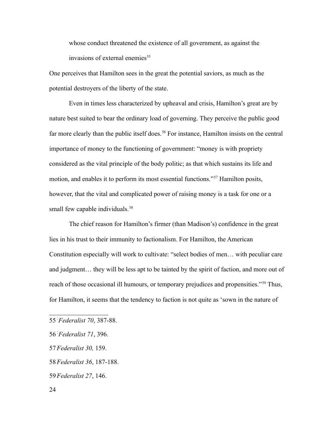whose conduct threatened the existence of all government, as against the invasions of external enemies<sup>[55](#page-23-0)</sup>

One perceives that Hamilton sees in the great the potential saviors, as much as the potential destroyers of the liberty of the state.

Even in times less characterized by upheaval and crisis, Hamilton's great are by nature best suited to bear the ordinary load of governing. They perceive the public good far more clearly than the public itself does.<sup>[56](#page-23-1)</sup> For instance, Hamilton insists on the central importance of money to the functioning of government: "money is with propriety considered as the vital principle of the body politic; as that which sustains its life and motion, and enables it to perform its most essential functions."[57](#page-23-2) Hamilton posits, however, that the vital and complicated power of raising money is a task for one or a small few capable individuals.<sup>[58](#page-23-3)</sup>

The chief reason for Hamilton's firmer (than Madison's) confidence in the great lies in his trust to their immunity to factionalism. For Hamilton, the American Constitution especially will work to cultivate: "select bodies of men… with peculiar care and judgment… they will be less apt to be tainted by the spirit of faction, and more out of reach of those occasional ill humours, or temporary prejudices and propensities."<sup>[59](#page-23-4)</sup> Thus, for Hamilton, it seems that the tendency to faction is not quite as 'sown in the nature of

<span id="page-23-2"></span>57-*Federalist 30,* 159.

<span id="page-23-4"></span>59-*Federalist 27*, 146.

<span id="page-23-0"></span><sup>55</sup>-*Federalist 70*, 387-88.

<span id="page-23-1"></span><sup>56</sup>-*Federalist 71*, 396.

<span id="page-23-3"></span><sup>58</sup>-*Federalist 36*, 187-188.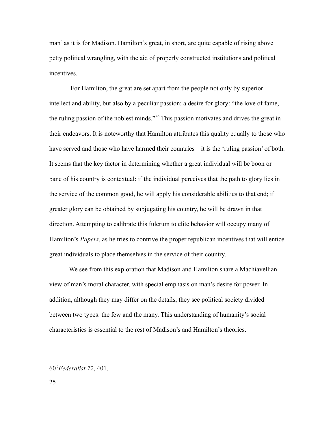man' as it is for Madison. Hamilton's great, in short, are quite capable of rising above petty political wrangling, with the aid of properly constructed institutions and political incentives.

 For Hamilton, the great are set apart from the people not only by superior intellect and ability, but also by a peculiar passion: a desire for glory: "the love of fame, the ruling passion of the noblest minds."[60](#page-24-0) This passion motivates and drives the great in their endeavors. It is noteworthy that Hamilton attributes this quality equally to those who have served and those who have harmed their countries—it is the 'ruling passion' of both. It seems that the key factor in determining whether a great individual will be boon or bane of his country is contextual: if the individual perceives that the path to glory lies in the service of the common good, he will apply his considerable abilities to that end; if greater glory can be obtained by subjugating his country, he will be drawn in that direction. Attempting to calibrate this fulcrum to elite behavior will occupy many of Hamilton's *Papers*, as he tries to contrive the proper republican incentives that will entice great individuals to place themselves in the service of their country.

We see from this exploration that Madison and Hamilton share a Machiavellian view of man's moral character, with special emphasis on man's desire for power. In addition, although they may differ on the details, they see political society divided between two types: the few and the many. This understanding of humanity's social characteristics is essential to the rest of Madison's and Hamilton's theories.

<span id="page-24-0"></span><sup>60</sup>-*Federalist 72*, 401.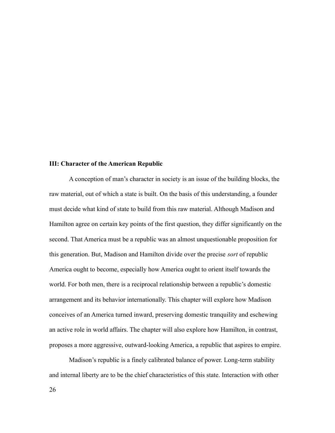#### **III: Character of the American Republic**

A conception of man's character in society is an issue of the building blocks, the raw material, out of which a state is built. On the basis of this understanding, a founder must decide what kind of state to build from this raw material. Although Madison and Hamilton agree on certain key points of the first question, they differ significantly on the second. That America must be a republic was an almost unquestionable proposition for this generation. But, Madison and Hamilton divide over the precise *sort* of republic America ought to become, especially how America ought to orient itself towards the world. For both men, there is a reciprocal relationship between a republic's domestic arrangement and its behavior internationally. This chapter will explore how Madison conceives of an America turned inward, preserving domestic tranquility and eschewing an active role in world affairs. The chapter will also explore how Hamilton, in contrast, proposes a more aggressive, outward-looking America, a republic that aspires to empire.

Madison's republic is a finely calibrated balance of power. Long-term stability and internal liberty are to be the chief characteristics of this state. Interaction with other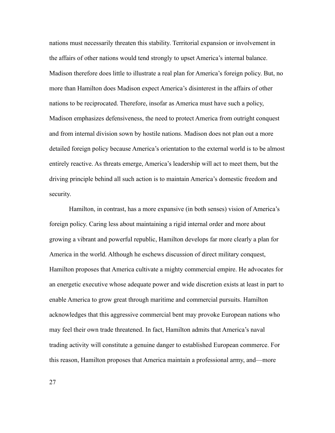nations must necessarily threaten this stability. Territorial expansion or involvement in the affairs of other nations would tend strongly to upset America's internal balance. Madison therefore does little to illustrate a real plan for America's foreign policy. But, no more than Hamilton does Madison expect America's disinterest in the affairs of other nations to be reciprocated. Therefore, insofar as America must have such a policy, Madison emphasizes defensiveness, the need to protect America from outright conquest and from internal division sown by hostile nations. Madison does not plan out a more detailed foreign policy because America's orientation to the external world is to be almost entirely reactive. As threats emerge, America's leadership will act to meet them, but the driving principle behind all such action is to maintain America's domestic freedom and security.

Hamilton, in contrast, has a more expansive (in both senses) vision of America's foreign policy. Caring less about maintaining a rigid internal order and more about growing a vibrant and powerful republic, Hamilton develops far more clearly a plan for America in the world. Although he eschews discussion of direct military conquest, Hamilton proposes that America cultivate a mighty commercial empire. He advocates for an energetic executive whose adequate power and wide discretion exists at least in part to enable America to grow great through maritime and commercial pursuits. Hamilton acknowledges that this aggressive commercial bent may provoke European nations who may feel their own trade threatened. In fact, Hamilton admits that America's naval trading activity will constitute a genuine danger to established European commerce. For this reason, Hamilton proposes that America maintain a professional army, and—more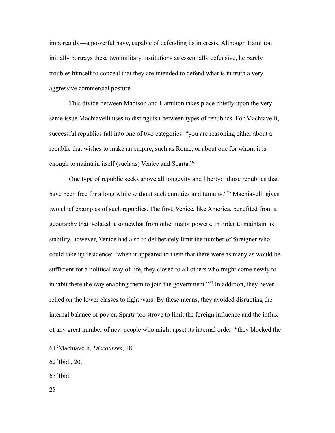importantly—a powerful navy, capable of defending its interests. Although Hamilton initially portrays these two military institutions as essentially defensive, he barely troubles himself to conceal that they are intended to defend what is in truth a very aggressive commercial posture.

This divide between Madison and Hamilton takes place chiefly upon the very same issue Machiavelli uses to distinguish between types of republics. For Machiavelli, successful republics fall into one of two categories: "you are reasoning either about a republic that wishes to make an empire, such as Rome, or about one for whom it is enough to maintain itself (such as) Venice and Sparta."<sup>[61](#page-27-0)</sup>

One type of republic seeks above all longevity and liberty: "those republics that have been free for a long while without such enmities and tumults.<sup>[62](#page-27-1)</sup> Machiavelli gives two chief examples of such republics. The first, Venice, like America, benefited from a geography that isolated it somewhat from other major powers. In order to maintain its stability, however, Venice had also to deliberately limit the number of foreigner who could take up residence: "when it appeared to them that there were as many as would be sufficient for a political way of life, they closed to all others who might come newly to inhabit there the way enabling them to join the government."<sup>[63](#page-27-2)</sup> In addition, they never relied on the lower classes to fight wars. By these means, they avoided disrupting the internal balance of power. Sparta too strove to limit the foreign influence and the influx of any great number of new people who might upset its internal order: "they blocked the

28

<span id="page-27-0"></span><sup>61</sup>- Machiavelli, *Discourses*, 18.

<span id="page-27-1"></span><sup>62</sup>- Ibid., 20.

<span id="page-27-2"></span><sup>63</sup>- Ibid.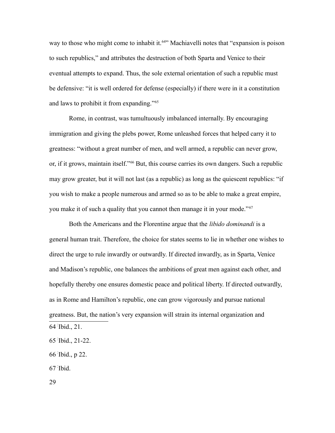way to those who might come to inhabit it.<sup>[64](#page-28-0)</sup> Machiavelli notes that "expansion is poison" to such republics," and attributes the destruction of both Sparta and Venice to their eventual attempts to expand. Thus, the sole external orientation of such a republic must be defensive: "it is well ordered for defense (especially) if there were in it a constitution and laws to prohibit it from expanding."[65](#page-28-1)

Rome, in contrast, was tumultuously imbalanced internally. By encouraging immigration and giving the plebs power, Rome unleashed forces that helped carry it to greatness: "without a great number of men, and well armed, a republic can never grow, or, if it grows, maintain itself."[66](#page-28-2) But, this course carries its own dangers. Such a republic may grow greater, but it will not last (as a republic) as long as the quiescent republics: "if you wish to make a people numerous and armed so as to be able to make a great empire, you make it of such a quality that you cannot then manage it in your mode."[67](#page-28-3)

Both the Americans and the Florentine argue that the *libido dominandi* is a general human trait. Therefore, the choice for states seems to lie in whether one wishes to direct the urge to rule inwardly or outwardly. If directed inwardly, as in Sparta, Venice and Madison's republic, one balances the ambitions of great men against each other, and hopefully thereby one ensures domestic peace and political liberty. If directed outwardly, as in Rome and Hamilton's republic, one can grow vigorously and pursue national greatness. But, the nation's very expansion will strain its internal organization and 64- Ibid., 21.

<span id="page-28-2"></span>66- Ibid., p 22.

<span id="page-28-3"></span>67- Ibid.

29

<span id="page-28-1"></span><span id="page-28-0"></span><sup>65</sup>- Ibid., 21-22.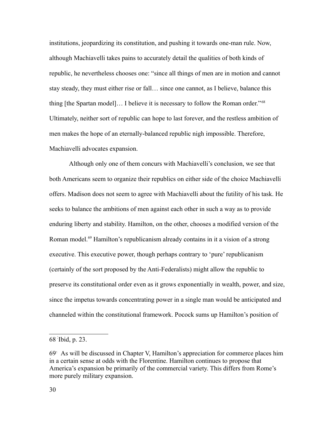institutions, jeopardizing its constitution, and pushing it towards one-man rule. Now, although Machiavelli takes pains to accurately detail the qualities of both kinds of republic, he nevertheless chooses one: "since all things of men are in motion and cannot stay steady, they must either rise or fall… since one cannot, as I believe, balance this thing [the Spartan model]… I believe it is necessary to follow the Roman order."[68](#page-29-0) Ultimately, neither sort of republic can hope to last forever, and the restless ambition of men makes the hope of an eternally-balanced republic nigh impossible. Therefore, Machiavelli advocates expansion.

Although only one of them concurs with Machiavelli's conclusion, we see that both Americans seem to organize their republics on either side of the choice Machiavelli offers. Madison does not seem to agree with Machiavelli about the futility of his task. He seeks to balance the ambitions of men against each other in such a way as to provide enduring liberty and stability. Hamilton, on the other, chooses a modified version of the Roman model.<sup>[69](#page-29-1)</sup> Hamilton's republicanism already contains in it a vision of a strong executive. This executive power, though perhaps contrary to 'pure' republicanism (certainly of the sort proposed by the Anti-Federalists) might allow the republic to preserve its constitutional order even as it grows exponentially in wealth, power, and size, since the impetus towards concentrating power in a single man would be anticipated and channeled within the constitutional framework. Pocock sums up Hamilton's position of

<span id="page-29-0"></span><sup>68</sup>- Ibid, p. 23.

<span id="page-29-1"></span><sup>69&</sup>lt;sup>1</sup> As will be discussed in Chapter V, Hamilton's appreciation for commerce places him in a certain sense at odds with the Florentine. Hamilton continues to propose that America's expansion be primarily of the commercial variety. This differs from Rome's more purely military expansion.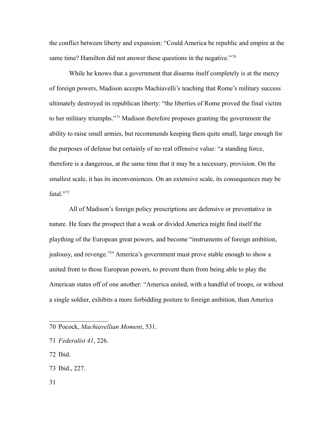the conflict between liberty and expansion: "Could America be republic and empire at the same time? Hamilton did not answer these questions in the negative."<sup>[70](#page-30-0)</sup>

While he knows that a government that disarms itself completely is at the mercy of foreign powers, Madison accepts Machiavelli's teaching that Rome's military success ultimately destroyed its republican liberty: "the liberties of Rome proved the final victim to her military triumphs."[71](#page-30-1) Madison therefore proposes granting the government the ability to raise small armies, but recommends keeping them quite small, large enough for the purposes of defense but certainly of no real offensive value: "a standing force, therefore is a dangerous, at the same time that it may be a necessary, provision. On the smallest scale, it has its inconveniences. On an extensive scale, its consequences may be fatal."[72](#page-30-2)

All of Madison's foreign policy prescriptions are defensive or preventative in nature. He fears the prospect that a weak or divided America might find itself the plaything of the European great powers, and become "instruments of foreign ambition, jealousy, and revenge.[73](#page-30-3)" America's government must prove stable enough to show a united front to those European powers, to prevent them from being able to play the American states off of one another: "America united, with a handful of troops, or without a single soldier, exhibits a more forbidding posture to foreign ambition, than America

- <span id="page-30-3"></span>73- Ibid., 227.
- 31

<span id="page-30-0"></span><sup>70</sup>- Pocock, *Machiavellian Moment*, 531.

<span id="page-30-1"></span><sup>71</sup>-*Federalist 41*, 226.

<span id="page-30-2"></span><sup>72</sup>- Ibid.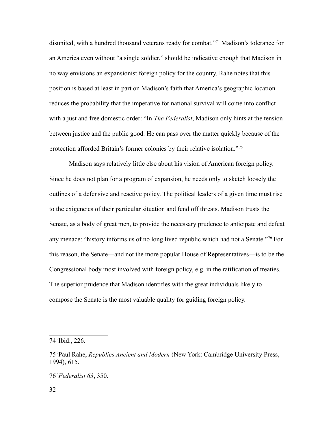disunited, with a hundred thousand veterans ready for combat."[74](#page-31-0) Madison's tolerance for an America even without "a single soldier," should be indicative enough that Madison in no way envisions an expansionist foreign policy for the country. Rahe notes that this position is based at least in part on Madison's faith that America's geographic location reduces the probability that the imperative for national survival will come into conflict with a just and free domestic order: "In *The Federalist*, Madison only hints at the tension between justice and the public good. He can pass over the matter quickly because of the protection afforded Britain's former colonies by their relative isolation." [75](#page-31-1)

Madison says relatively little else about his vision of American foreign policy. Since he does not plan for a program of expansion, he needs only to sketch loosely the outlines of a defensive and reactive policy. The political leaders of a given time must rise to the exigencies of their particular situation and fend off threats. Madison trusts the Senate, as a body of great men, to provide the necessary prudence to anticipate and defeat any menace: "history informs us of no long lived republic which had not a Senate."[76](#page-31-2) For this reason, the Senate—and not the more popular House of Representatives—is to be the Congressional body most involved with foreign policy, e.g. in the ratification of treaties. The superior prudence that Madison identifies with the great individuals likely to compose the Senate is the most valuable quality for guiding foreign policy.

<span id="page-31-0"></span><sup>74</sup>- Ibid., 226.

<span id="page-31-1"></span><sup>75</sup>- Paul Rahe, *Republics Ancient and Modern* (New York: Cambridge University Press, 1994), 615.

<span id="page-31-2"></span><sup>76</sup>-*Federalist 63*, 350.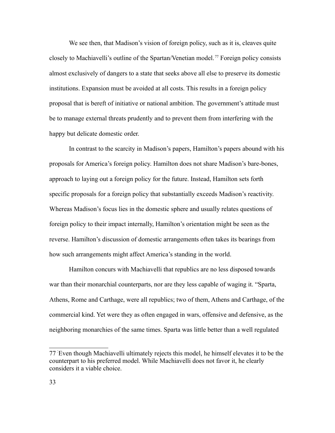We see then, that Madison's vision of foreign policy, such as it is, cleaves quite closely to Machiavelli's outline of the Spartan/Venetian model. [77](#page-32-0) Foreign policy consists almost exclusively of dangers to a state that seeks above all else to preserve its domestic institutions. Expansion must be avoided at all costs. This results in a foreign policy proposal that is bereft of initiative or national ambition. The government's attitude must be to manage external threats prudently and to prevent them from interfering with the happy but delicate domestic order.

In contrast to the scarcity in Madison's papers, Hamilton's papers abound with his proposals for America's foreign policy. Hamilton does not share Madison's bare-bones, approach to laying out a foreign policy for the future. Instead, Hamilton sets forth specific proposals for a foreign policy that substantially exceeds Madison's reactivity. Whereas Madison's focus lies in the domestic sphere and usually relates questions of foreign policy to their impact internally, Hamilton's orientation might be seen as the reverse. Hamilton's discussion of domestic arrangements often takes its bearings from how such arrangements might affect America's standing in the world.

Hamilton concurs with Machiavelli that republics are no less disposed towards war than their monarchial counterparts, nor are they less capable of waging it. "Sparta, Athens, Rome and Carthage, were all republics; two of them, Athens and Carthage, of the commercial kind. Yet were they as often engaged in wars, offensive and defensive, as the neighboring monarchies of the same times. Sparta was little better than a well regulated

<span id="page-32-0"></span><sup>77</sup>- Even though Machiavelli ultimately rejects this model, he himself elevates it to be the counterpart to his preferred model. While Machiavelli does not favor it, he clearly considers it a viable choice.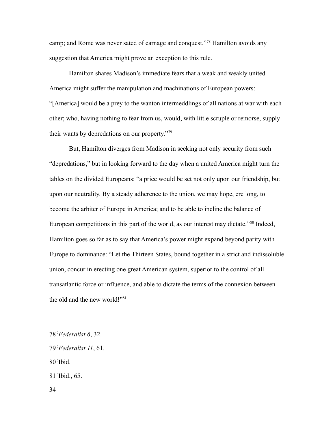camp; and Rome was never sated of carnage and conquest."[78](#page-33-0) Hamilton avoids any suggestion that America might prove an exception to this rule.

Hamilton shares Madison's immediate fears that a weak and weakly united America might suffer the manipulation and machinations of European powers: "[America] would be a prey to the wanton intermeddlings of all nations at war with each other; who, having nothing to fear from us, would, with little scruple or remorse, supply their wants by depredations on our property."[79](#page-33-1)

But, Hamilton diverges from Madison in seeking not only security from such "depredations," but in looking forward to the day when a united America might turn the tables on the divided Europeans: "a price would be set not only upon our friendship, but upon our neutrality. By a steady adherence to the union, we may hope, ere long, to become the arbiter of Europe in America; and to be able to incline the balance of European competitions in this part of the world, as our interest may dictate."<sup>[80](#page-33-2)</sup> Indeed, Hamilton goes so far as to say that America's power might expand beyond parity with Europe to dominance: "Let the Thirteen States, bound together in a strict and indissoluble union, concur in erecting one great American system, superior to the control of all transatlantic force or influence, and able to dictate the terms of the connexion between the old and the new world!"<sup>[81](#page-33-3)</sup>

<span id="page-33-2"></span>80- Ibid.

<span id="page-33-3"></span>81- Ibid., 65.

<span id="page-33-0"></span><sup>78</sup>-*Federalist 6*, 32.

<span id="page-33-1"></span><sup>79</sup>-*Federalist 11*, 61.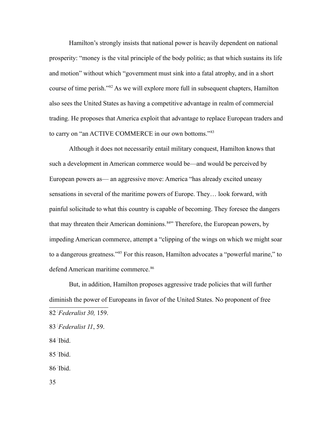Hamilton's strongly insists that national power is heavily dependent on national prosperity: "money is the vital principle of the body politic; as that which sustains its life and motion" without which "government must sink into a fatal atrophy, and in a short course of time perish."[82](#page-34-0) As we will explore more full in subsequent chapters, Hamilton also sees the United States as having a competitive advantage in realm of commercial trading. He proposes that America exploit that advantage to replace European traders and to carry on "an ACTIVE COMMERCE in our own bottoms."[83](#page-34-1)

Although it does not necessarily entail military conquest, Hamilton knows that such a development in American commerce would be—and would be perceived by European powers as— an aggressive move: America "has already excited uneasy sensations in several of the maritime powers of Europe. They… look forward, with painful solicitude to what this country is capable of becoming. They foresee the dangers that may threaten their American dominions.<sup>[84](#page-34-2)</sup><sup>1</sup> Therefore, the European powers, by impeding American commerce, attempt a "clipping of the wings on which we might soar to a dangerous greatness."[85](#page-34-3) For this reason, Hamilton advocates a "powerful marine," to defend American maritime commerce.<sup>[86](#page-34-4)</sup>

But, in addition, Hamilton proposes aggressive trade policies that will further diminish the power of Europeans in favor of the United States. No proponent of free 82-*Federalist 30,* 159.

<span id="page-34-2"></span>84- Ibid.

<span id="page-34-3"></span>85- Ibid.

<span id="page-34-4"></span>86- Ibid.

35

<span id="page-34-1"></span><span id="page-34-0"></span><sup>83</sup>-*Federalist 11*, 59.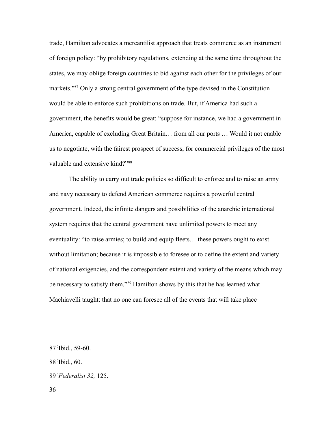trade, Hamilton advocates a mercantilist approach that treats commerce as an instrument of foreign policy: "by prohibitory regulations, extending at the same time throughout the states, we may oblige foreign countries to bid against each other for the privileges of our markets."[87](#page-35-0) Only a strong central government of the type devised in the Constitution would be able to enforce such prohibitions on trade. But, if America had such a government, the benefits would be great: "suppose for instance, we had a government in America, capable of excluding Great Britain… from all our ports … Would it not enable us to negotiate, with the fairest prospect of success, for commercial privileges of the most valuable and extensive kind?"<sup>[88](#page-35-1)</sup>

The ability to carry out trade policies so difficult to enforce and to raise an army and navy necessary to defend American commerce requires a powerful central government. Indeed, the infinite dangers and possibilities of the anarchic international system requires that the central government have unlimited powers to meet any eventuality: "to raise armies; to build and equip fleets… these powers ought to exist without limitation; because it is impossible to foresee or to define the extent and variety of national exigencies, and the correspondent extent and variety of the means which may be necessary to satisfy them."<sup>[89](#page-35-2)</sup> Hamilton shows by this that he has learned what Machiavelli taught: that no one can foresee all of the events that will take place

<span id="page-35-2"></span>89-*Federalist 32,* 125.

<span id="page-35-0"></span><sup>87</sup>- Ibid., 59-60.

<span id="page-35-1"></span><sup>88</sup>- Ibid., 60.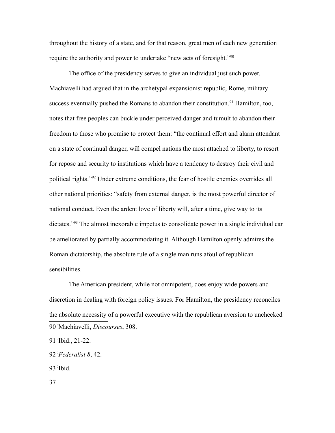throughout the history of a state, and for that reason, great men of each new generation require the authority and power to undertake "new acts of foresight."<sup>[90](#page-36-0)</sup>

The office of the presidency serves to give an individual just such power. Machiavelli had argued that in the archetypal expansionist republic, Rome, military success eventually pushed the Romans to abandon their constitution.<sup>[91](#page-36-1)</sup> Hamilton, too, notes that free peoples can buckle under perceived danger and tumult to abandon their freedom to those who promise to protect them: "the continual effort and alarm attendant on a state of continual danger, will compel nations the most attached to liberty, to resort for repose and security to institutions which have a tendency to destroy their civil and political rights."[92](#page-36-2) Under extreme conditions, the fear of hostile enemies overrides all other national priorities: "safety from external danger, is the most powerful director of national conduct. Even the ardent love of liberty will, after a time, give way to its dictates.<sup>"[93](#page-36-3)</sup> The almost inexorable impetus to consolidate power in a single individual can be ameliorated by partially accommodating it. Although Hamilton openly admires the Roman dictatorship, the absolute rule of a single man runs afoul of republican sensibilities.

The American president, while not omnipotent, does enjoy wide powers and discretion in dealing with foreign policy issues. For Hamilton, the presidency reconciles the absolute necessity of a powerful executive with the republican aversion to unchecked 90- Machiavelli, *Discourses*, 308.

<span id="page-36-3"></span>93- Ibid.

37

<span id="page-36-1"></span><span id="page-36-0"></span><sup>91</sup>- Ibid., 21-22.

<span id="page-36-2"></span><sup>92</sup>-*Federalist 8*, 42.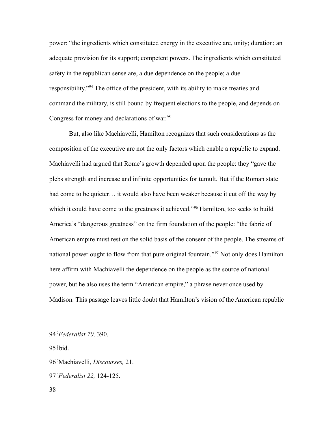power: "the ingredients which constituted energy in the executive are, unity; duration; an adequate provision for its support; competent powers. The ingredients which constituted safety in the republican sense are, a due dependence on the people; a due responsibility."[94](#page-37-0) The office of the president, with its ability to make treaties and command the military, is still bound by frequent elections to the people, and depends on Congress for money and declarations of war.<sup>[95](#page-37-1)</sup>

But, also like Machiavelli, Hamilton recognizes that such considerations as the composition of the executive are not the only factors which enable a republic to expand. Machiavelli had argued that Rome's growth depended upon the people: they "gave the plebs strength and increase and infinite opportunities for tumult. But if the Roman state had come to be quieter... it would also have been weaker because it cut off the way by which it could have come to the greatness it achieved."<sup>[96](#page-37-2)</sup> Hamilton, too seeks to build America's "dangerous greatness" on the firm foundation of the people: "the fabric of American empire must rest on the solid basis of the consent of the people. The streams of national power ought to flow from that pure original fountain."<sup>[97](#page-37-3)</sup> Not only does Hamilton here affirm with Machiavelli the dependence on the people as the source of national power, but he also uses the term "American empire," a phrase never once used by Madison. This passage leaves little doubt that Hamilton's vision of the American republic

<span id="page-37-1"></span>95 Ibid.

<span id="page-37-3"></span>97-*Federalist 22,* 124-125.

<span id="page-37-0"></span><sup>94</sup>-*Federalist 70,* 390.

<span id="page-37-2"></span><sup>96</sup>- Machiavelli, *Discourses,* 21.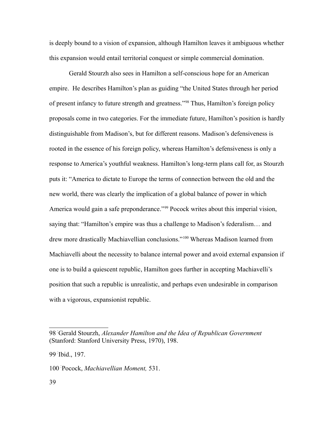is deeply bound to a vision of expansion, although Hamilton leaves it ambiguous whether this expansion would entail territorial conquest or simple commercial domination.

Gerald Stourzh also sees in Hamilton a self-conscious hope for an American empire. He describes Hamilton's plan as guiding "the United States through her period of present infancy to future strength and greatness."[98](#page-38-0) Thus, Hamilton's foreign policy proposals come in two categories. For the immediate future, Hamilton's position is hardly distinguishable from Madison's, but for different reasons. Madison's defensiveness is rooted in the essence of his foreign policy, whereas Hamilton's defensiveness is only a response to America's youthful weakness. Hamilton's long-term plans call for, as Stourzh puts it: "America to dictate to Europe the terms of connection between the old and the new world, there was clearly the implication of a global balance of power in which America would gain a safe preponderance."<sup>[99](#page-38-1)</sup> Pocock writes about this imperial vision, saying that: "Hamilton's empire was thus a challenge to Madison's federalism… and drew more drastically Machiavellian conclusions."[100](#page-38-2) Whereas Madison learned from Machiavelli about the necessity to balance internal power and avoid external expansion if one is to build a quiescent republic, Hamilton goes further in accepting Machiavelli's position that such a republic is unrealistic, and perhaps even undesirable in comparison with a vigorous, expansionist republic.

<span id="page-38-0"></span><sup>98</sup>- Gerald Stourzh, *Alexander Hamilton and the Idea of Republican Government* (Stanford: Stanford University Press, 1970), 198.

<span id="page-38-1"></span><sup>99</sup>- Ibid., 197.

<span id="page-38-2"></span><sup>100</sup>- Pocock, *Machiavellian Moment,* 531.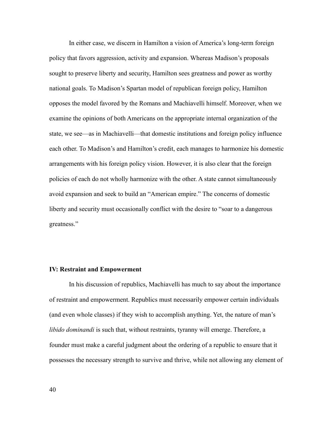In either case, we discern in Hamilton a vision of America's long-term foreign policy that favors aggression, activity and expansion. Whereas Madison's proposals sought to preserve liberty and security, Hamilton sees greatness and power as worthy national goals. To Madison's Spartan model of republican foreign policy, Hamilton opposes the model favored by the Romans and Machiavelli himself. Moreover, when we examine the opinions of both Americans on the appropriate internal organization of the state, we see—as in Machiavelli—that domestic institutions and foreign policy influence each other. To Madison's and Hamilton's credit, each manages to harmonize his domestic arrangements with his foreign policy vision. However, it is also clear that the foreign policies of each do not wholly harmonize with the other. A state cannot simultaneously avoid expansion and seek to build an "American empire." The concerns of domestic liberty and security must occasionally conflict with the desire to "soar to a dangerous greatness."

## **IV: Restraint and Empowerment**

In his discussion of republics, Machiavelli has much to say about the importance of restraint and empowerment. Republics must necessarily empower certain individuals (and even whole classes) if they wish to accomplish anything. Yet, the nature of man's *libido dominandi* is such that, without restraints, tyranny will emerge. Therefore, a founder must make a careful judgment about the ordering of a republic to ensure that it possesses the necessary strength to survive and thrive, while not allowing any element of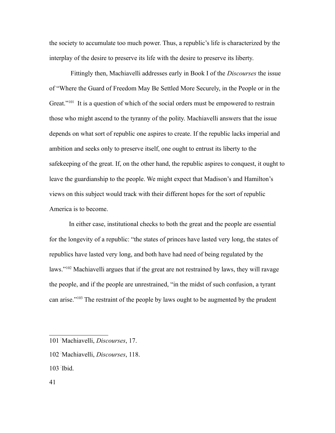the society to accumulate too much power. Thus, a republic's life is characterized by the interplay of the desire to preserve its life with the desire to preserve its liberty.

 Fittingly then, Machiavelli addresses early in Book I of the *Discourses* the issue of "Where the Guard of Freedom May Be Settled More Securely, in the People or in the Great."<sup>[101](#page-40-0)</sup> It is a question of which of the social orders must be empowered to restrain those who might ascend to the tyranny of the polity. Machiavelli answers that the issue depends on what sort of republic one aspires to create. If the republic lacks imperial and ambition and seeks only to preserve itself, one ought to entrust its liberty to the safekeeping of the great. If, on the other hand, the republic aspires to conquest, it ought to leave the guardianship to the people. We might expect that Madison's and Hamilton's views on this subject would track with their different hopes for the sort of republic America is to become.

In either case, institutional checks to both the great and the people are essential for the longevity of a republic: "the states of princes have lasted very long, the states of republics have lasted very long, and both have had need of being regulated by the laws."<sup>[102](#page-40-1)</sup> Machiavelli argues that if the great are not restrained by laws, they will ravage the people, and if the people are unrestrained, "in the midst of such confusion, a tyrant can arise."[103](#page-40-2) The restraint of the people by laws ought to be augmented by the prudent

- <span id="page-40-1"></span>102- Machiavelli, *Discourses*, 118.
- <span id="page-40-2"></span>103- Ibid.

<span id="page-40-0"></span><sup>101</sup>- Machiavelli, *Discourses*, 17.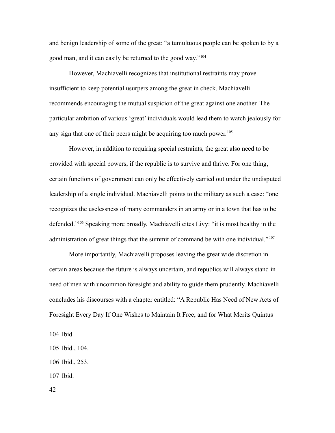and benign leadership of some of the great: "a tumultuous people can be spoken to by a good man, and it can easily be returned to the good way."[104](#page-41-0)

However, Machiavelli recognizes that institutional restraints may prove insufficient to keep potential usurpers among the great in check. Machiavelli recommends encouraging the mutual suspicion of the great against one another. The particular ambition of various 'great' individuals would lead them to watch jealously for any sign that one of their peers might be acquiring too much power.<sup>[105](#page-41-1)</sup>

However, in addition to requiring special restraints, the great also need to be provided with special powers, if the republic is to survive and thrive. For one thing, certain functions of government can only be effectively carried out under the undisputed leadership of a single individual. Machiavelli points to the military as such a case: "one recognizes the uselessness of many commanders in an army or in a town that has to be defended."[106](#page-41-2) Speaking more broadly, Machiavelli cites Livy: "it is most healthy in the administration of great things that the summit of command be with one individual."<sup>[107](#page-41-3)</sup>

More importantly, Machiavelli proposes leaving the great wide discretion in certain areas because the future is always uncertain, and republics will always stand in need of men with uncommon foresight and ability to guide them prudently. Machiavelli concludes his discourses with a chapter entitled: "A Republic Has Need of New Acts of Foresight Every Day If One Wishes to Maintain It Free; and for What Merits Quintus

<span id="page-41-3"></span>107- Ibid.

<span id="page-41-0"></span><sup>104</sup>- Ibid.

<span id="page-41-1"></span><sup>105</sup>- Ibid., 104.

<span id="page-41-2"></span><sup>106</sup>- Ibid., 253.

<sup>42</sup>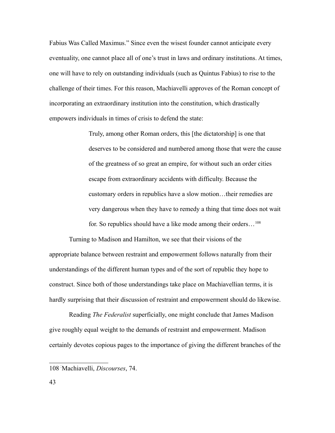Fabius Was Called Maximus." Since even the wisest founder cannot anticipate every eventuality, one cannot place all of one's trust in laws and ordinary institutions. At times, one will have to rely on outstanding individuals (such as Quintus Fabius) to rise to the challenge of their times. For this reason, Machiavelli approves of the Roman concept of incorporating an extraordinary institution into the constitution, which drastically empowers individuals in times of crisis to defend the state:

> Truly, among other Roman orders, this [the dictatorship] is one that deserves to be considered and numbered among those that were the cause of the greatness of so great an empire, for without such an order cities escape from extraordinary accidents with difficulty. Because the customary orders in republics have a slow motion…their remedies are very dangerous when they have to remedy a thing that time does not wait for. So republics should have a like mode among their orders...<sup>[108](#page-42-0)</sup>

Turning to Madison and Hamilton, we see that their visions of the appropriate balance between restraint and empowerment follows naturally from their understandings of the different human types and of the sort of republic they hope to construct. Since both of those understandings take place on Machiavellian terms, it is hardly surprising that their discussion of restraint and empowerment should do likewise.

Reading *The Federalist* superficially, one might conclude that James Madison give roughly equal weight to the demands of restraint and empowerment. Madison certainly devotes copious pages to the importance of giving the different branches of the

<span id="page-42-0"></span><sup>108</sup>- Machiavelli, *Discourses*, 74.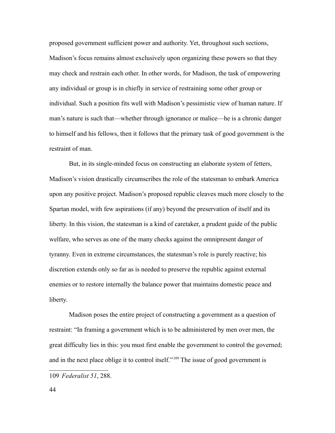proposed government sufficient power and authority. Yet, throughout such sections, Madison's focus remains almost exclusively upon organizing these powers so that they may check and restrain each other. In other words, for Madison, the task of empowering any individual or group is in chiefly in service of restraining some other group or individual. Such a position fits well with Madison's pessimistic view of human nature. If man's nature is such that—whether through ignorance or malice—he is a chronic danger to himself and his fellows, then it follows that the primary task of good government is the restraint of man.

But, in its single-minded focus on constructing an elaborate system of fetters, Madison's vision drastically circumscribes the role of the statesman to embark America upon any positive project. Madison's proposed republic cleaves much more closely to the Spartan model, with few aspirations (if any) beyond the preservation of itself and its liberty. In this vision, the statesman is a kind of caretaker, a prudent guide of the public welfare, who serves as one of the many checks against the omnipresent danger of tyranny. Even in extreme circumstances, the statesman's role is purely reactive; his discretion extends only so far as is needed to preserve the republic against external enemies or to restore internally the balance power that maintains domestic peace and liberty.

Madison poses the entire project of constructing a government as a question of restraint: "In framing a government which is to be administered by men over men, the great difficulty lies in this: you must first enable the government to control the governed; and in the next place oblige it to control itself."<sup>[109](#page-43-0)</sup> The issue of good government is

<span id="page-43-0"></span><sup>109</sup>-*Federalist 51*, 288.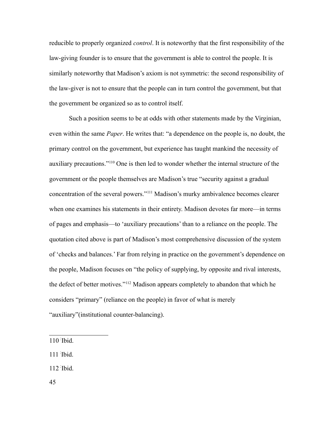reducible to properly organized *control*. It is noteworthy that the first responsibility of the law-giving founder is to ensure that the government is able to control the people. It is similarly noteworthy that Madison's axiom is not symmetric: the second responsibility of the law-giver is not to ensure that the people can in turn control the government, but that the government be organized so as to control itself.

Such a position seems to be at odds with other statements made by the Virginian, even within the same *Paper*. He writes that: "a dependence on the people is, no doubt, the primary control on the government, but experience has taught mankind the necessity of auxiliary precautions."[110](#page-44-0) One is then led to wonder whether the internal structure of the government or the people themselves are Madison's true "security against a gradual concentration of the several powers."[111](#page-44-1) Madison's murky ambivalence becomes clearer when one examines his statements in their entirety. Madison devotes far more—in terms of pages and emphasis—to 'auxiliary precautions' than to a reliance on the people. The quotation cited above is part of Madison's most comprehensive discussion of the system of 'checks and balances.' Far from relying in practice on the government's dependence on the people, Madison focuses on "the policy of supplying, by opposite and rival interests, the defect of better motives."[112](#page-44-2) Madison appears completely to abandon that which he considers "primary" (reliance on the people) in favor of what is merely "auxiliary"(institutional counter-balancing).

<span id="page-44-2"></span>112- Ibid.

45

<span id="page-44-0"></span><sup>110</sup>- Ibid.

<span id="page-44-1"></span><sup>111</sup>- Ibid.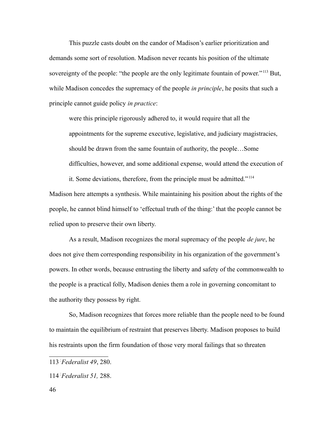This puzzle casts doubt on the candor of Madison's earlier prioritization and demands some sort of resolution. Madison never recants his position of the ultimate sovereignty of the people: "the people are the only legitimate fountain of power."<sup>[113](#page-45-0)</sup> But, while Madison concedes the supremacy of the people *in principle*, he posits that such a principle cannot guide policy *in practice*:

were this principle rigorously adhered to, it would require that all the appointments for the supreme executive, legislative, and judiciary magistracies, should be drawn from the same fountain of authority, the people…Some difficulties, however, and some additional expense, would attend the execution of

it. Some deviations, therefore, from the principle must be admitted." [114](#page-45-1) Madison here attempts a synthesis. While maintaining his position about the rights of the people, he cannot blind himself to 'effectual truth of the thing:' that the people cannot be relied upon to preserve their own liberty.

As a result, Madison recognizes the moral supremacy of the people *de jure*, he does not give them corresponding responsibility in his organization of the government's powers. In other words, because entrusting the liberty and safety of the commonwealth to the people is a practical folly, Madison denies them a role in governing concomitant to the authority they possess by right.

So, Madison recognizes that forces more reliable than the people need to be found to maintain the equilibrium of restraint that preserves liberty. Madison proposes to build his restraints upon the firm foundation of those very moral failings that so threaten

<span id="page-45-0"></span><sup>113</sup>-*Federalist 49*, 280.

<span id="page-45-1"></span><sup>114</sup>-*Federalist 51,* 288.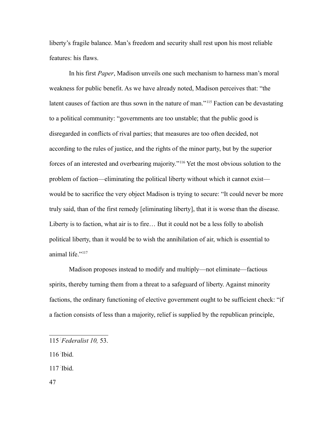liberty's fragile balance. Man's freedom and security shall rest upon his most reliable features: his flaws.

In his first *Paper*, Madison unveils one such mechanism to harness man's moral weakness for public benefit. As we have already noted, Madison perceives that: "the latent causes of faction are thus sown in the nature of man."<sup>[115](#page-46-0)</sup> Faction can be devastating to a political community: "governments are too unstable; that the public good is disregarded in conflicts of rival parties; that measures are too often decided, not according to the rules of justice, and the rights of the minor party, but by the superior forces of an interested and overbearing majority."[116](#page-46-1) Yet the most obvious solution to the problem of faction—eliminating the political liberty without which it cannot exist would be to sacrifice the very object Madison is trying to secure: "It could never be more truly said, than of the first remedy [eliminating liberty], that it is worse than the disease. Liberty is to faction, what air is to fire… But it could not be a less folly to abolish political liberty, than it would be to wish the annihilation of air, which is essential to animal life."[117](#page-46-2)

Madison proposes instead to modify and multiply—not eliminate—factious spirits, thereby turning them from a threat to a safeguard of liberty. Against minority factions, the ordinary functioning of elective government ought to be sufficient check: "if a faction consists of less than a majority, relief is supplied by the republican principle,

<span id="page-46-1"></span>116- Ibid.

<span id="page-46-2"></span>117- Ibid.

47

<span id="page-46-0"></span><sup>115</sup>-*Federalist 10,* 53.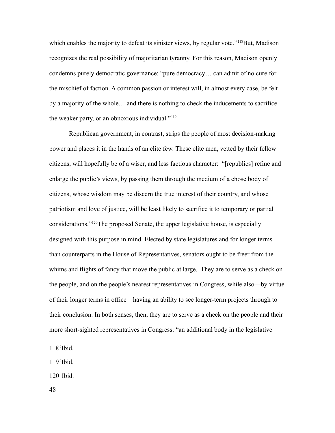which enables the majority to defeat its sinister views, by regular vote."<sup>[118](#page-47-0)</sup>But, Madison recognizes the real possibility of majoritarian tyranny. For this reason, Madison openly condemns purely democratic governance: "pure democracy… can admit of no cure for the mischief of faction. A common passion or interest will, in almost every case, be felt by a majority of the whole… and there is nothing to check the inducements to sacrifice the weaker party, or an obnoxious individual."[119](#page-47-1)

Republican government, in contrast, strips the people of most decision-making power and places it in the hands of an elite few. These elite men, vetted by their fellow citizens, will hopefully be of a wiser, and less factious character: "[republics] refine and enlarge the public's views, by passing them through the medium of a chose body of citizens, whose wisdom may be discern the true interest of their country, and whose patriotism and love of justice, will be least likely to sacrifice it to temporary or partial considerations."[120](#page-47-2)The proposed Senate, the upper legislative house, is especially designed with this purpose in mind. Elected by state legislatures and for longer terms than counterparts in the House of Representatives, senators ought to be freer from the whims and flights of fancy that move the public at large. They are to serve as a check on the people, and on the people's nearest representatives in Congress, while also—by virtue of their longer terms in office—having an ability to see longer-term projects through to their conclusion. In both senses, then, they are to serve as a check on the people and their more short-sighted representatives in Congress: "an additional body in the legislative

<span id="page-47-1"></span>119- Ibid.

<span id="page-47-2"></span>120- Ibid.

<span id="page-47-0"></span><sup>118</sup>- Ibid.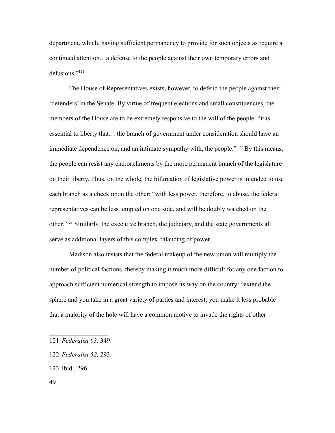department, which, having sufficient permanency to provide for such objects as require a continued attention…a defense to the people against their own temporary errors and delusions."[121](#page-48-0)

The House of Representatives exists, however, to defend the people against their 'defenders' in the Senate. By virtue of frequent elections and small constituencies, the members of the House are to be extremely responsive to the will of the people: "it is essential to liberty that… the branch of government under consideration should have an immediate dependence on, and an intimate sympathy with, the people."<sup>[122](#page-48-1)</sup> By this means, the people can resist any encroachments by the more permanent branch of the legislature on their liberty. Thus, on the whole, the bifurcation of legislative power is intended to use each branch as a check upon the other: "with less power, therefore, to abuse, the federal representatives can be less tempted on one side, and will be doubly watched on the other."[123](#page-48-2) Similarly, the executive branch, the judiciary, and the state governments all serve as additional layers of this complex balancing of power.

Madison also insists that the federal makeup of the new union will multiply the number of political factions, thereby making it much more difficult for any one faction to approach sufficient numerical strength to impose its way on the country: "extend the sphere and you take in a great variety of parties and interest; you make it less probable that a majority of the hole will have a common motive to invade the rights of other

- <span id="page-48-2"></span>123- Ibid., 296.
- 49

<span id="page-48-0"></span><sup>121</sup>-*Federalist 63,* 349.

<span id="page-48-1"></span><sup>122</sup>-*Federalist 52,* 293.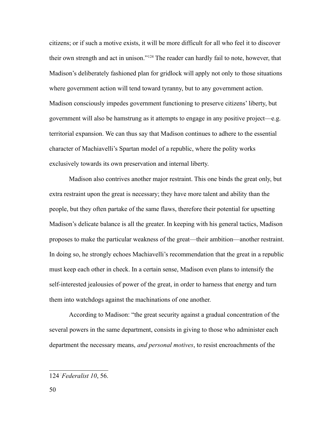citizens; or if such a motive exists, it will be more difficult for all who feel it to discover their own strength and act in unison."[124](#page-49-0) The reader can hardly fail to note, however, that Madison's deliberately fashioned plan for gridlock will apply not only to those situations where government action will tend toward tyranny, but to any government action. Madison consciously impedes government functioning to preserve citizens' liberty, but government will also be hamstrung as it attempts to engage in any positive project—e.g. territorial expansion. We can thus say that Madison continues to adhere to the essential character of Machiavelli's Spartan model of a republic, where the polity works exclusively towards its own preservation and internal liberty.

Madison also contrives another major restraint. This one binds the great only, but extra restraint upon the great is necessary; they have more talent and ability than the people, but they often partake of the same flaws, therefore their potential for upsetting Madison's delicate balance is all the greater. In keeping with his general tactics, Madison proposes to make the particular weakness of the great—their ambition—another restraint. In doing so, he strongly echoes Machiavelli's recommendation that the great in a republic must keep each other in check. In a certain sense, Madison even plans to intensify the self-interested jealousies of power of the great, in order to harness that energy and turn them into watchdogs against the machinations of one another.

According to Madison: "the great security against a gradual concentration of the several powers in the same department, consists in giving to those who administer each department the necessary means, *and personal motives*, to resist encroachments of the

<span id="page-49-0"></span><sup>124</sup>-*Federalist 10*, 56.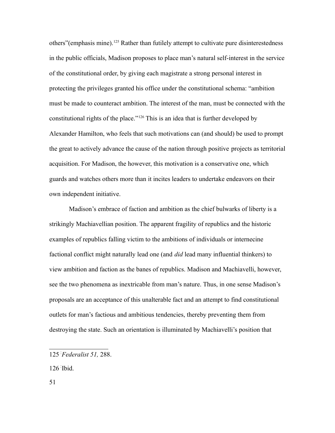others"(emphasis mine).<sup>[125](#page-50-0)</sup> Rather than futilely attempt to cultivate pure disinterestedness in the public officials, Madison proposes to place man's natural self-interest in the service of the constitutional order, by giving each magistrate a strong personal interest in protecting the privileges granted his office under the constitutional schema: "ambition must be made to counteract ambition. The interest of the man, must be connected with the constitutional rights of the place."[126](#page-50-1) This is an idea that is further developed by Alexander Hamilton, who feels that such motivations can (and should) be used to prompt the great to actively advance the cause of the nation through positive projects as territorial acquisition. For Madison, the however, this motivation is a conservative one, which guards and watches others more than it incites leaders to undertake endeavors on their own independent initiative.

Madison's embrace of faction and ambition as the chief bulwarks of liberty is a strikingly Machiavellian position. The apparent fragility of republics and the historic examples of republics falling victim to the ambitions of individuals or internecine factional conflict might naturally lead one (and *did* lead many influential thinkers) to view ambition and faction as the banes of republics. Madison and Machiavelli, however, see the two phenomena as inextricable from man's nature. Thus, in one sense Madison's proposals are an acceptance of this unalterable fact and an attempt to find constitutional outlets for man's factious and ambitious tendencies, thereby preventing them from destroying the state. Such an orientation is illuminated by Machiavelli's position that

<span id="page-50-1"></span>126- Ibid.

51

<span id="page-50-0"></span><sup>125</sup>-*Federalist 51,* 288.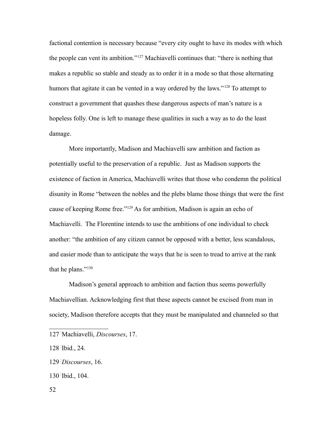factional contention is necessary because "every city ought to have its modes with which the people can vent its ambition."[127](#page-51-0) Machiavelli continues that: "there is nothing that makes a republic so stable and steady as to order it in a mode so that those alternating humors that agitate it can be vented in a way ordered by the laws."<sup>[128](#page-51-1)</sup> To attempt to construct a government that quashes these dangerous aspects of man's nature is a hopeless folly. One is left to manage these qualities in such a way as to do the least damage.

More importantly, Madison and Machiavelli saw ambition and faction as potentially useful to the preservation of a republic. Just as Madison supports the existence of faction in America, Machiavelli writes that those who condemn the political disunity in Rome "between the nobles and the plebs blame those things that were the first cause of keeping Rome free."[129](#page-51-2) As for ambition, Madison is again an echo of Machiavelli. The Florentine intends to use the ambitions of one individual to check another: "the ambition of any citizen cannot be opposed with a better, less scandalous, and easier mode than to anticipate the ways that he is seen to tread to arrive at the rank that he plans."[130](#page-51-3)

Madison's general approach to ambition and faction thus seems powerfully Machiavellian. Acknowledging first that these aspects cannot be excised from man in society, Madison therefore accepts that they must be manipulated and channeled so that

<span id="page-51-3"></span>130- Ibid., 104.

<span id="page-51-0"></span><sup>127</sup>- Machiavelli, *Discourses*, 17.

<span id="page-51-1"></span><sup>128</sup>- Ibid., 24.

<span id="page-51-2"></span><sup>129</sup>-*Discourses*, 16.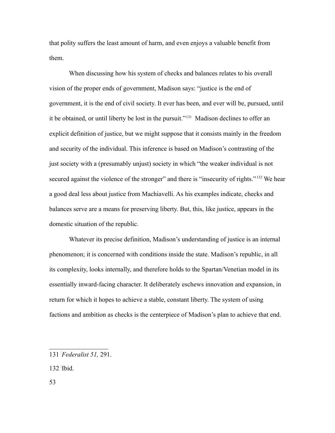that polity suffers the least amount of harm, and even enjoys a valuable benefit from them.

When discussing how his system of checks and balances relates to his overall vision of the proper ends of government, Madison says: "justice is the end of government, it is the end of civil society. It ever has been, and ever will be, pursued, until it be obtained, or until liberty be lost in the pursuit."[131](#page-52-0) Madison declines to offer an explicit definition of justice, but we might suppose that it consists mainly in the freedom and security of the individual. This inference is based on Madison's contrasting of the just society with a (presumably unjust) society in which "the weaker individual is not secured against the violence of the stronger" and there is "insecurity of rights."<sup>[132](#page-52-1)</sup> We hear a good deal less about justice from Machiavelli. As his examples indicate, checks and balances serve are a means for preserving liberty. But, this, like justice, appears in the domestic situation of the republic.

Whatever its precise definition, Madison's understanding of justice is an internal phenomenon; it is concerned with conditions inside the state. Madison's republic, in all its complexity, looks internally, and therefore holds to the Spartan/Venetian model in its essentially inward-facing character. It deliberately eschews innovation and expansion, in return for which it hopes to achieve a stable, constant liberty. The system of using factions and ambition as checks is the centerpiece of Madison's plan to achieve that end.

<span id="page-52-1"></span>132- Ibid.

53

<span id="page-52-0"></span><sup>131</sup>-*Federalist 51,* 291.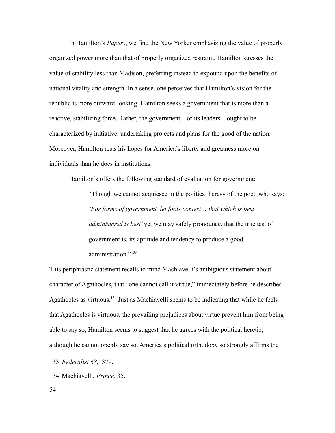In Hamilton's *Papers*, we find the New Yorker emphasizing the value of properly organized power more than that of properly organized restraint. Hamilton stresses the value of stability less than Madison, preferring instead to expound upon the benefits of national vitality and strength. In a sense, one perceives that Hamilton's vision for the republic is more outward-looking. Hamilton seeks a government that is more than a reactive, stabilizing force. Rather, the government—or its leaders—ought to be characterized by initiative, undertaking projects and plans for the good of the nation. Moreover, Hamilton rests his hopes for America's liberty and greatness more on individuals than he does in institutions.

Hamilton's offers the following standard of evaluation for government:

"Though we cannot acquiesce in the political heresy of the poet, who says: *'For forms of government, let fools contest… that which is best administered is best'* yet we may safely pronounce, that the true test of government is, its aptitude and tendency to produce a good administration<sup>"[133](#page-53-0)</sup>

This periphrastic statement recalls to mind Machiavelli's ambiguous statement about character of Agathocles, that "one cannot call it virtue," immediately before he describes Agathocles as virtuous.<sup>[134](#page-53-1)</sup> Just as Machiavelli seems to be indicating that while he feels that Agathocles is virtuous, the prevailing prejudices about virtue prevent him from being able to say so, Hamilton seems to suggest that he agrees with the political heretic, although he cannot openly say so. America's political orthodoxy so strongly affirms the

<span id="page-53-0"></span><sup>133</sup>-*Federalist 68,* 379.

<span id="page-53-1"></span><sup>134</sup>- Machiavelli, *Prince,* 35.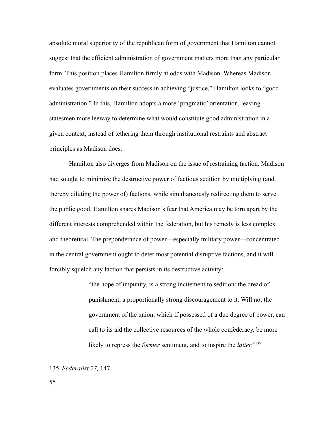absolute moral superiority of the republican form of government that Hamilton cannot suggest that the efficient administration of government matters more than any particular form. This position places Hamilton firmly at odds with Madison. Whereas Madison evaluates governments on their success in achieving "justice," Hamilton looks to "good administration." In this, Hamilton adopts a more 'pragmatic' orientation, leaving statesmen more leeway to determine what would constitute good administration in a given context, instead of tethering them through institutional restraints and abstract principles as Madison does.

Hamilton also diverges from Madison on the issue of restraining faction. Madison had sought to minimize the destructive power of factious sedition by multiplying (and thereby diluting the power of) factions, while simultaneously redirecting them to serve the public good. Hamilton shares Madison's fear that America may be torn apart by the different interests comprehended within the federation, but his remedy is less complex and theoretical. The preponderance of power—especially military power—concentrated in the central government ought to deter most potential disruptive factions, and it will forcibly squelch any faction that persists in its destructive activity:

> "the hope of impunity, is a strong incitement to sedition: the dread of punishment, a proportionally strong discouragement to it. Will not the government of the union, which if possessed of a due degree of power, can call to its aid the collective resources of the whole confederacy, be more likely to repress the *former* sentiment, and to inspire the *latter.*" [135](#page-54-0)

<span id="page-54-0"></span><sup>135</sup>-*Federalist 27,* 147.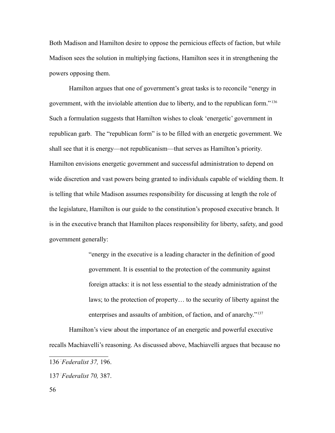Both Madison and Hamilton desire to oppose the pernicious effects of faction, but while Madison sees the solution in multiplying factions, Hamilton sees it in strengthening the powers opposing them.

Hamilton argues that one of government's great tasks is to reconcile "energy in government, with the inviolable attention due to liberty, and to the republican form." [136](#page-55-0) Such a formulation suggests that Hamilton wishes to cloak 'energetic' government in republican garb. The "republican form" is to be filled with an energetic government. We shall see that it is energy—not republicanism—that serves as Hamilton's priority. Hamilton envisions energetic government and successful administration to depend on wide discretion and vast powers being granted to individuals capable of wielding them. It is telling that while Madison assumes responsibility for discussing at length the role of the legislature, Hamilton is our guide to the constitution's proposed executive branch. It is in the executive branch that Hamilton places responsibility for liberty, safety, and good government generally:

> "energy in the executive is a leading character in the definition of good government. It is essential to the protection of the community against foreign attacks: it is not less essential to the steady administration of the laws; to the protection of property… to the security of liberty against the enterprises and assaults of ambition, of faction, and of anarchy."[137](#page-55-1)

Hamilton's view about the importance of an energetic and powerful executive recalls Machiavelli's reasoning. As discussed above, Machiavelli argues that because no

<span id="page-55-0"></span><sup>136</sup>-*Federalist 37,* 196.

<span id="page-55-1"></span><sup>137</sup>-*Federalist 70,* 387.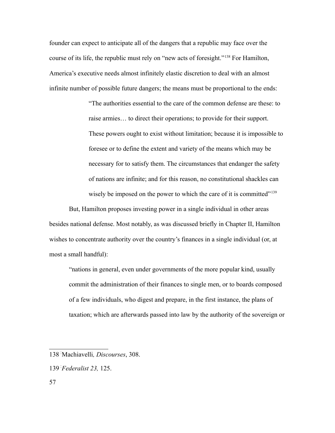founder can expect to anticipate all of the dangers that a republic may face over the course of its life, the republic must rely on "new acts of foresight."[138](#page-56-0) For Hamilton, America's executive needs almost infinitely elastic discretion to deal with an almost infinite number of possible future dangers; the means must be proportional to the ends:

> "The authorities essential to the care of the common defense are these: to raise armies… to direct their operations; to provide for their support. These powers ought to exist without limitation; because it is impossible to foresee or to define the extent and variety of the means which may be necessary for to satisfy them. The circumstances that endanger the safety of nations are infinite; and for this reason, no constitutional shackles can wisely be imposed on the power to which the care of it is committed"<sup>[139](#page-56-1)</sup>

But, Hamilton proposes investing power in a single individual in other areas besides national defense. Most notably, as was discussed briefly in Chapter II, Hamilton wishes to concentrate authority over the country's finances in a single individual (or, at most a small handful):

"nations in general, even under governments of the more popular kind, usually commit the administration of their finances to single men, or to boards composed of a few individuals, who digest and prepare, in the first instance, the plans of taxation; which are afterwards passed into law by the authority of the sovereign or

<span id="page-56-0"></span><sup>138</sup>- Machiavelli*, Discourses*, 308.

<span id="page-56-1"></span><sup>139</sup>-*Federalist 23,* 125.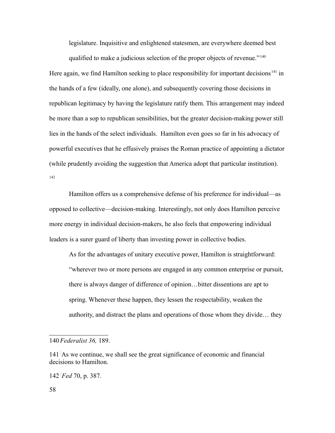legislature. Inquisitive and enlightened statesmen, are everywhere deemed best

qualified to make a judicious selection of the proper objects of revenue."<sup>[140](#page-57-0)</sup> Here again, we find Hamilton seeking to place responsibility for important decisions<sup>[141](#page-57-1)</sup> in the hands of a few (ideally, one alone), and subsequently covering those decisions in republican legitimacy by having the legislature ratify them. This arrangement may indeed be more than a sop to republican sensibilities, but the greater decision-making power still lies in the hands of the select individuals. Hamilton even goes so far in his advocacy of powerful executives that he effusively praises the Roman practice of appointing a dictator (while prudently avoiding the suggestion that America adopt that particular institution). [142](#page-57-2)

Hamilton offers us a comprehensive defense of his preference for individual—as opposed to collective—decision-making. Interestingly, not only does Hamilton perceive more energy in individual decision-makers, he also feels that empowering individual leaders is a surer guard of liberty than investing power in collective bodies.

As for the advantages of unitary executive power, Hamilton is straightforward: "wherever two or more persons are engaged in any common enterprise or pursuit, there is always danger of difference of opinion…bitter dissentions are apt to spring. Whenever these happen, they lessen the respectability, weaken the authority, and distract the plans and operations of those whom they divide… they

<span id="page-57-0"></span><sup>140</sup>-*Federalist 36,* 189.

<span id="page-57-1"></span><sup>141</sup> As we continue, we shall see the great significance of economic and financial decisions to Hamilton.

<span id="page-57-2"></span><sup>142</sup>-*Fed* 70, p. 387.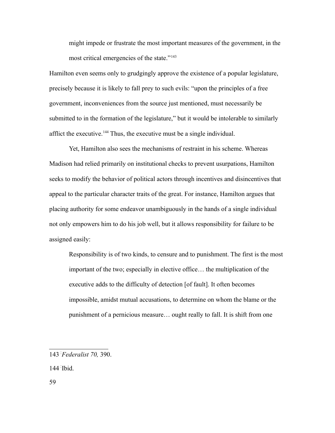might impede or frustrate the most important measures of the government, in the most critical emergencies of the state."<sup>[143](#page-58-0)</sup>

Hamilton even seems only to grudgingly approve the existence of a popular legislature, precisely because it is likely to fall prey to such evils: "upon the principles of a free government, inconveniences from the source just mentioned, must necessarily be submitted to in the formation of the legislature," but it would be intolerable to similarly afflict the executive.[144](#page-58-1) Thus, the executive must be a single individual.

Yet, Hamilton also sees the mechanisms of restraint in his scheme. Whereas Madison had relied primarily on institutional checks to prevent usurpations, Hamilton seeks to modify the behavior of political actors through incentives and disincentives that appeal to the particular character traits of the great. For instance, Hamilton argues that placing authority for some endeavor unambiguously in the hands of a single individual not only empowers him to do his job well, but it allows responsibility for failure to be assigned easily:

Responsibility is of two kinds, to censure and to punishment. The first is the most important of the two; especially in elective office… the multiplication of the executive adds to the difficulty of detection [of fault]. It often becomes impossible, amidst mutual accusations, to determine on whom the blame or the punishment of a pernicious measure… ought really to fall. It is shift from one

<span id="page-58-1"></span>144- Ibid.

59

<span id="page-58-0"></span><sup>143</sup>-*Federalist 70,* 390.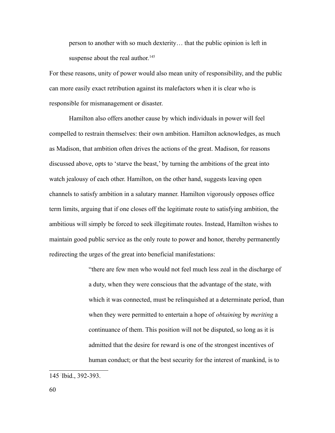person to another with so much dexterity… that the public opinion is left in suspense about the real author. $145$ 

For these reasons, unity of power would also mean unity of responsibility, and the public can more easily exact retribution against its malefactors when it is clear who is responsible for mismanagement or disaster.

Hamilton also offers another cause by which individuals in power will feel compelled to restrain themselves: their own ambition. Hamilton acknowledges, as much as Madison, that ambition often drives the actions of the great. Madison, for reasons discussed above, opts to 'starve the beast,' by turning the ambitions of the great into watch jealousy of each other. Hamilton, on the other hand, suggests leaving open channels to satisfy ambition in a salutary manner. Hamilton vigorously opposes office term limits, arguing that if one closes off the legitimate route to satisfying ambition, the ambitious will simply be forced to seek illegitimate routes. Instead, Hamilton wishes to maintain good public service as the only route to power and honor, thereby permanently redirecting the urges of the great into beneficial manifestations:

> "there are few men who would not feel much less zeal in the discharge of a duty, when they were conscious that the advantage of the state, with which it was connected, must be relinquished at a determinate period, than when they were permitted to entertain a hope of *obtaining* by *meriting* a continuance of them. This position will not be disputed, so long as it is admitted that the desire for reward is one of the strongest incentives of human conduct; or that the best security for the interest of mankind, is to

<span id="page-59-0"></span><sup>145</sup>- Ibid., 392-393.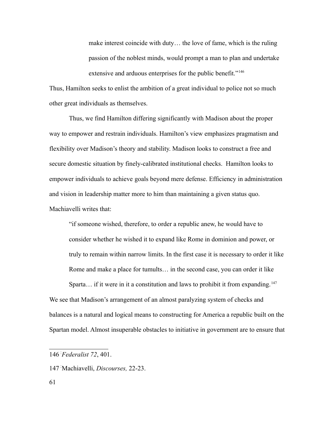make interest coincide with duty… the love of fame, which is the ruling passion of the noblest minds, would prompt a man to plan and undertake extensive and arduous enterprises for the public benefit."<sup>[146](#page-60-0)</sup>

Thus, Hamilton seeks to enlist the ambition of a great individual to police not so much other great individuals as themselves.

Thus, we find Hamilton differing significantly with Madison about the proper way to empower and restrain individuals. Hamilton's view emphasizes pragmatism and flexibility over Madison's theory and stability. Madison looks to construct a free and secure domestic situation by finely-calibrated institutional checks. Hamilton looks to empower individuals to achieve goals beyond mere defense. Efficiency in administration and vision in leadership matter more to him than maintaining a given status quo. Machiavelli writes that:

"if someone wished, therefore, to order a republic anew, he would have to consider whether he wished it to expand like Rome in dominion and power, or truly to remain within narrow limits. In the first case it is necessary to order it like Rome and make a place for tumults… in the second case, you can order it like Sparta... if it were in it a constitution and laws to prohibit it from expanding.<sup>[147](#page-60-1)</sup> We see that Madison's arrangement of an almost paralyzing system of checks and

Spartan model. Almost insuperable obstacles to initiative in government are to ensure that

balances is a natural and logical means to constructing for America a republic built on the

<span id="page-60-0"></span><sup>146</sup>-*Federalist 72*, 401.

<span id="page-60-1"></span><sup>147</sup>- Machiavelli, *Discourses,* 22-23.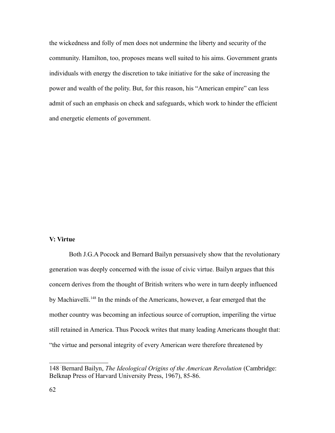the wickedness and folly of men does not undermine the liberty and security of the community. Hamilton, too, proposes means well suited to his aims. Government grants individuals with energy the discretion to take initiative for the sake of increasing the power and wealth of the polity. But, for this reason, his "American empire" can less admit of such an emphasis on check and safeguards, which work to hinder the efficient and energetic elements of government.

## **V: Virtue**

Both J.G.A Pocock and Bernard Bailyn persuasively show that the revolutionary generation was deeply concerned with the issue of civic virtue. Bailyn argues that this concern derives from the thought of British writers who were in turn deeply influenced by Machiavelli.[148](#page-61-0) In the minds of the Americans, however, a fear emerged that the mother country was becoming an infectious source of corruption, imperiling the virtue still retained in America. Thus Pocock writes that many leading Americans thought that: "the virtue and personal integrity of every American were therefore threatened by

<span id="page-61-0"></span><sup>148</sup>- Bernard Bailyn, *The Ideological Origins of the American Revolution* (Cambridge: Belknap Press of Harvard University Press, 1967), 85-86.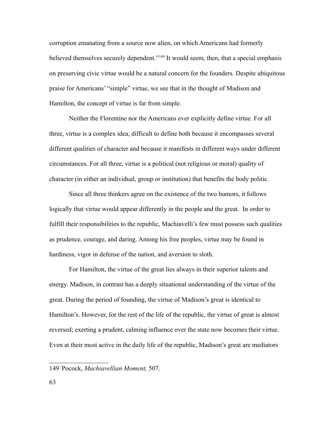corruption emanating from a source now alien, on which Americans had formerly believed themselves securely dependent."<sup>[149](#page-62-0)</sup> It would seem, then, that a special emphasis on preserving civic virtue would be a natural concern for the founders. Despite ubiquitous praise for Americans' "simple" virtue, we see that in the thought of Madison and Hamilton, the concept of virtue is far from simple.

Neither the Florentine nor the Americans ever explicitly define virtue. For all three, virtue is a complex idea, difficult to define both because it encompasses several different qualities of character and because it manifests in different ways under different circumstances. For all three, virtue is a political (not religious or moral) quality of character (in either an individual, group or institution) that benefits the body politic.

Since all three thinkers agree on the existence of the two humors, it follows logically that virtue would appear differently in the people and the great. In order to fulfill their responsibilities to the republic, Machiavelli's few must possess such qualities as prudence, courage, and daring. Among his free peoples, virtue may be found in hardiness, vigor in defense of the nation, and aversion to sloth.

For Hamilton, the virtue of the great lies always in their superior talents and energy. Madison, in contrast has a deeply situational understanding of the virtue of the great. During the period of founding, the virtue of Madison's great is identical to Hamilton's. However, for the rest of the life of the republic, the virtue of great is almost reversed; exerting a prudent, calming influence over the state now becomes their virtue. Even at their most active in the daily life of the republic, Madison's great are mediators

<span id="page-62-0"></span><sup>149</sup>- Pocock, *Machiavellian Moment,* 507.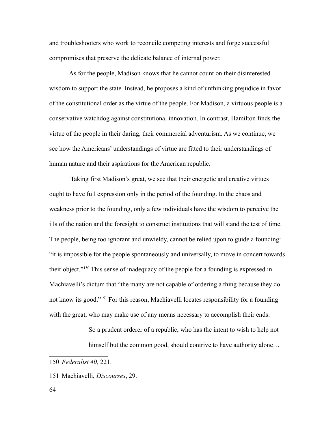and troubleshooters who work to reconcile competing interests and forge successful compromises that preserve the delicate balance of internal power.

As for the people, Madison knows that he cannot count on their disinterested wisdom to support the state. Instead, he proposes a kind of unthinking prejudice in favor of the constitutional order as the virtue of the people. For Madison, a virtuous people is a conservative watchdog against constitutional innovation. In contrast, Hamilton finds the virtue of the people in their daring, their commercial adventurism. As we continue, we see how the Americans' understandings of virtue are fitted to their understandings of human nature and their aspirations for the American republic.

 Taking first Madison's great, we see that their energetic and creative virtues ought to have full expression only in the period of the founding. In the chaos and weakness prior to the founding, only a few individuals have the wisdom to perceive the ills of the nation and the foresight to construct institutions that will stand the test of time. The people, being too ignorant and unwieldy, cannot be relied upon to guide a founding: "it is impossible for the people spontaneously and universally, to move in concert towards their object."[150](#page-63-0) This sense of inadequacy of the people for a founding is expressed in Machiavelli's dictum that "the many are not capable of ordering a thing because they do not know its good."[151](#page-63-1) For this reason, Machiavelli locates responsibility for a founding with the great, who may make use of any means necessary to accomplish their ends:

> So a prudent orderer of a republic, who has the intent to wish to help not himself but the common good, should contrive to have authority alone...

<span id="page-63-0"></span><sup>150</sup>-*Federalist 40,* 221.

<span id="page-63-1"></span><sup>151</sup>- Machiavelli, *Discourses*, 29.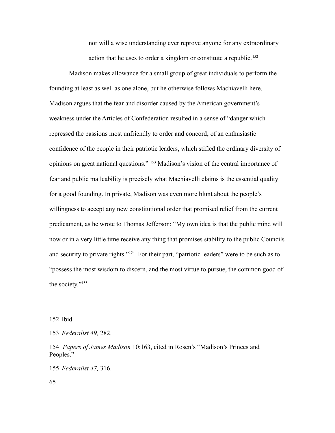nor will a wise understanding ever reprove anyone for any extraordinary action that he uses to order a kingdom or constitute a republic.<sup>[152](#page-64-0)</sup>

Madison makes allowance for a small group of great individuals to perform the founding at least as well as one alone, but he otherwise follows Machiavelli here. Madison argues that the fear and disorder caused by the American government's weakness under the Articles of Confederation resulted in a sense of "danger which repressed the passions most unfriendly to order and concord; of an enthusiastic confidence of the people in their patriotic leaders, which stifled the ordinary diversity of opinions on great national questions." [153](#page-64-1) Madison's vision of the central importance of fear and public malleability is precisely what Machiavelli claims is the essential quality for a good founding. In private, Madison was even more blunt about the people's willingness to accept any new constitutional order that promised relief from the current predicament, as he wrote to Thomas Jefferson: "My own idea is that the public mind will now or in a very little time receive any thing that promises stability to the public Councils and security to private rights."<sup>[154](#page-64-2)</sup> For their part, "patriotic leaders" were to be such as to "possess the most wisdom to discern, and the most virtue to pursue, the common good of the society."[155](#page-64-3)

<span id="page-64-0"></span>152- Ibid.

<span id="page-64-3"></span>155-*Federalist 47,* 316.

<span id="page-64-1"></span><sup>153</sup>-*Federalist 49,* 282.

<span id="page-64-2"></span><sup>154&</sup>lt;sup>1</sup> Papers of James Madison 10:163, cited in Rosen's "Madison's Princes and Peoples."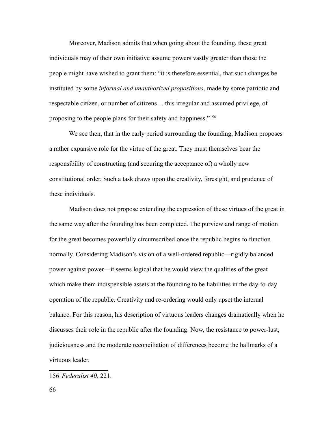Moreover, Madison admits that when going about the founding, these great individuals may of their own initiative assume powers vastly greater than those the people might have wished to grant them: "it is therefore essential, that such changes be instituted by some *informal and unauthorized propositions*, made by some patriotic and respectable citizen, or number of citizens… this irregular and assumed privilege, of proposing to the people plans for their safety and happiness."[156](#page-65-0)

We see then, that in the early period surrounding the founding, Madison proposes a rather expansive role for the virtue of the great. They must themselves bear the responsibility of constructing (and securing the acceptance of) a wholly new constitutional order. Such a task draws upon the creativity, foresight, and prudence of these individuals.

Madison does not propose extending the expression of these virtues of the great in the same way after the founding has been completed. The purview and range of motion for the great becomes powerfully circumscribed once the republic begins to function normally. Considering Madison's vision of a well-ordered republic—rigidly balanced power against power—it seems logical that he would view the qualities of the great which make them indispensible assets at the founding to be liabilities in the day-to-day operation of the republic. Creativity and re-ordering would only upset the internal balance. For this reason, his description of virtuous leaders changes dramatically when he discusses their role in the republic after the founding. Now, the resistance to power-lust, judiciousness and the moderate reconciliation of differences become the hallmarks of a virtuous leader.

<span id="page-65-0"></span><sup>156</sup>-*Federalist 40,* 221.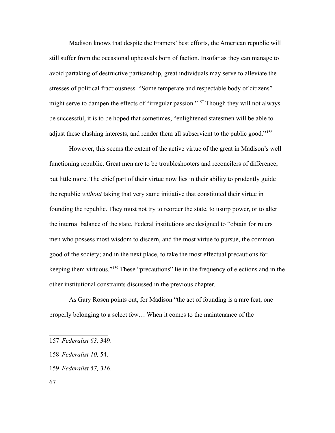Madison knows that despite the Framers' best efforts, the American republic will still suffer from the occasional upheavals born of faction. Insofar as they can manage to avoid partaking of destructive partisanship, great individuals may serve to alleviate the stresses of political fractiousness. "Some temperate and respectable body of citizens" might serve to dampen the effects of "irregular passion."<sup>[157](#page-66-0)</sup> Though they will not always be successful, it is to be hoped that sometimes, "enlightened statesmen will be able to adjust these clashing interests, and render them all subservient to the public good."<sup>[158](#page-66-1)</sup>

However, this seems the extent of the active virtue of the great in Madison's well functioning republic. Great men are to be troubleshooters and reconcilers of difference, but little more. The chief part of their virtue now lies in their ability to prudently guide the republic *without* taking that very same initiative that constituted their virtue in founding the republic. They must not try to reorder the state, to usurp power, or to alter the internal balance of the state. Federal institutions are designed to "obtain for rulers men who possess most wisdom to discern, and the most virtue to pursue, the common good of the society; and in the next place, to take the most effectual precautions for keeping them virtuous."[159](#page-66-2) These "precautions" lie in the frequency of elections and in the other institutional constraints discussed in the previous chapter.

As Gary Rosen points out, for Madison "the act of founding is a rare feat, one properly belonging to a select few… When it comes to the maintenance of the

<span id="page-66-0"></span><sup>157</sup>-*Federalist 63,* 349.

<span id="page-66-1"></span><sup>158</sup>-*Federalist 10,* 54.

<span id="page-66-2"></span><sup>159</sup>-*Federalist 57, 316*.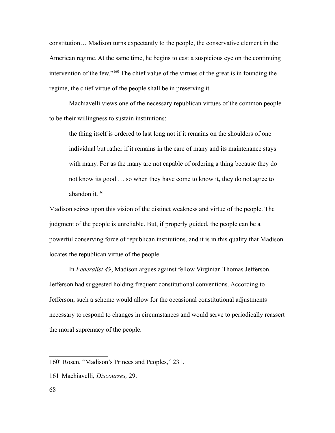constitution… Madison turns expectantly to the people, the conservative element in the American regime. At the same time, he begins to cast a suspicious eye on the continuing intervention of the few."[160](#page-67-0) The chief value of the virtues of the great is in founding the regime, the chief virtue of the people shall be in preserving it.

Machiavelli views one of the necessary republican virtues of the common people to be their willingness to sustain institutions:

the thing itself is ordered to last long not if it remains on the shoulders of one individual but rather if it remains in the care of many and its maintenance stays with many. For as the many are not capable of ordering a thing because they do not know its good … so when they have come to know it, they do not agree to abandon it. $161$ 

Madison seizes upon this vision of the distinct weakness and virtue of the people. The judgment of the people is unreliable. But, if properly guided, the people can be a powerful conserving force of republican institutions, and it is in this quality that Madison locates the republican virtue of the people.

In *Federalist 49*, Madison argues against fellow Virginian Thomas Jefferson. Jefferson had suggested holding frequent constitutional conventions. According to Jefferson, such a scheme would allow for the occasional constitutional adjustments necessary to respond to changes in circumstances and would serve to periodically reassert the moral supremacy of the people.

<span id="page-67-0"></span><sup>160&</sup>lt;sup>T</sup> Rosen, "Madison's Princes and Peoples," 231.

<span id="page-67-1"></span><sup>161</sup>- Machiavelli, *Discourses,* 29.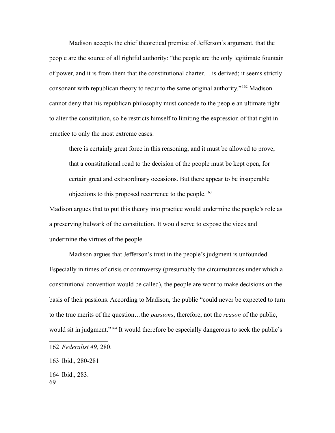Madison accepts the chief theoretical premise of Jefferson's argument, that the people are the source of all rightful authority: "the people are the only legitimate fountain of power, and it is from them that the constitutional charter… is derived; it seems strictly consonant with republican theory to recur to the same original authority."[162](#page-68-0) Madison cannot deny that his republican philosophy must concede to the people an ultimate right to alter the constitution, so he restricts himself to limiting the expression of that right in practice to only the most extreme cases:

there is certainly great force in this reasoning, and it must be allowed to prove, that a constitutional road to the decision of the people must be kept open, for certain great and extraordinary occasions. But there appear to be insuperable objections to this proposed recurrence to the people.<sup>[163](#page-68-1)</sup>

Madison argues that to put this theory into practice would undermine the people's role as a preserving bulwark of the constitution. It would serve to expose the vices and undermine the virtues of the people.

Madison argues that Jefferson's trust in the people's judgment is unfounded. Especially in times of crisis or controversy (presumably the circumstances under which a constitutional convention would be called), the people are wont to make decisions on the basis of their passions. According to Madison, the public "could never be expected to turn to the true merits of the question…the *passions*, therefore, not the *reason* of the public, would sit in judgment."<sup>[164](#page-68-2)</sup> It would therefore be especially dangerous to seek the public's

<span id="page-68-0"></span><sup>162</sup>-*Federalist 49,* 280.

<span id="page-68-1"></span><sup>163</sup>- Ibid., 280-281

<span id="page-68-2"></span><sup>164</sup>- Ibid., 283. 69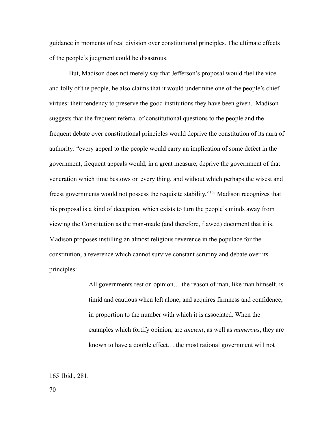guidance in moments of real division over constitutional principles. The ultimate effects of the people's judgment could be disastrous.

But, Madison does not merely say that Jefferson's proposal would fuel the vice and folly of the people, he also claims that it would undermine one of the people's chief virtues: their tendency to preserve the good institutions they have been given. Madison suggests that the frequent referral of constitutional questions to the people and the frequent debate over constitutional principles would deprive the constitution of its aura of authority: "every appeal to the people would carry an implication of some defect in the government, frequent appeals would, in a great measure, deprive the government of that veneration which time bestows on every thing, and without which perhaps the wisest and freest governments would not possess the requisite stability."[165](#page-69-0) Madison recognizes that his proposal is a kind of deception, which exists to turn the people's minds away from viewing the Constitution as the man-made (and therefore, flawed) document that it is. Madison proposes instilling an almost religious reverence in the populace for the constitution, a reverence which cannot survive constant scrutiny and debate over its principles:

> All governments rest on opinion… the reason of man, like man himself, is timid and cautious when left alone; and acquires firmness and confidence, in proportion to the number with which it is associated. When the examples which fortify opinion, are *ancient*, as well as *numerous*, they are known to have a double effect… the most rational government will not

<span id="page-69-0"></span><sup>165</sup>- Ibid., 281.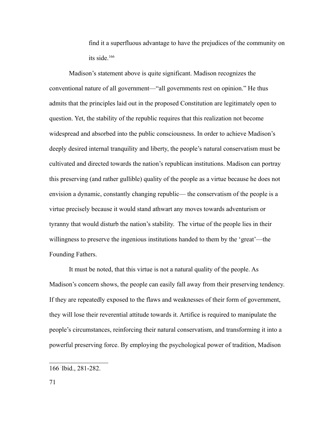find it a superfluous advantage to have the prejudices of the community on its side. $166$ 

Madison's statement above is quite significant. Madison recognizes the conventional nature of all government—"all governments rest on opinion." He thus admits that the principles laid out in the proposed Constitution are legitimately open to question. Yet, the stability of the republic requires that this realization not become widespread and absorbed into the public consciousness. In order to achieve Madison's deeply desired internal tranquility and liberty, the people's natural conservatism must be cultivated and directed towards the nation's republican institutions. Madison can portray this preserving (and rather gullible) quality of the people as a virtue because he does not envision a dynamic, constantly changing republic— the conservatism of the people is a virtue precisely because it would stand athwart any moves towards adventurism or tyranny that would disturb the nation's stability. The virtue of the people lies in their willingness to preserve the ingenious institutions handed to them by the 'great'—the Founding Fathers.

It must be noted, that this virtue is not a natural quality of the people. As Madison's concern shows, the people can easily fall away from their preserving tendency. If they are repeatedly exposed to the flaws and weaknesses of their form of government, they will lose their reverential attitude towards it. Artifice is required to manipulate the people's circumstances, reinforcing their natural conservatism, and transforming it into a powerful preserving force. By employing the psychological power of tradition, Madison

<span id="page-70-0"></span><sup>166</sup>- Ibid., 281-282.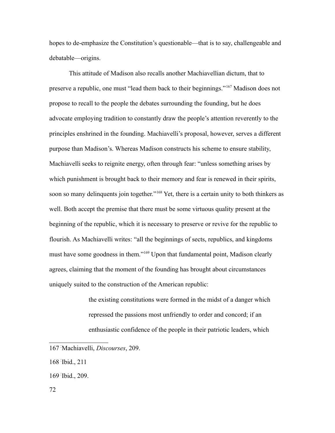hopes to de-emphasize the Constitution's questionable—that is to say, challengeable and debatable—origins.

This attitude of Madison also recalls another Machiavellian dictum, that to preserve a republic, one must "lead them back to their beginnings."[167](#page-71-0) Madison does not propose to recall to the people the debates surrounding the founding, but he does advocate employing tradition to constantly draw the people's attention reverently to the principles enshrined in the founding. Machiavelli's proposal, however, serves a different purpose than Madison's. Whereas Madison constructs his scheme to ensure stability, Machiavelli seeks to reignite energy, often through fear: "unless something arises by which punishment is brought back to their memory and fear is renewed in their spirits, soon so many delinquents join together."<sup>[168](#page-71-1)</sup> Yet, there is a certain unity to both thinkers as well. Both accept the premise that there must be some virtuous quality present at the beginning of the republic, which it is necessary to preserve or revive for the republic to flourish. As Machiavelli writes: "all the beginnings of sects, republics, and kingdoms must have some goodness in them."[169](#page-71-2) Upon that fundamental point, Madison clearly agrees, claiming that the moment of the founding has brought about circumstances uniquely suited to the construction of the American republic:

> the existing constitutions were formed in the midst of a danger which repressed the passions most unfriendly to order and concord; if an enthusiastic confidence of the people in their patriotic leaders, which

<span id="page-71-0"></span><sup>167</sup>- Machiavelli, *Discourses*, 209.

<span id="page-71-1"></span><sup>168</sup>- Ibid., 211

<span id="page-71-2"></span><sup>169</sup>- Ibid., 209.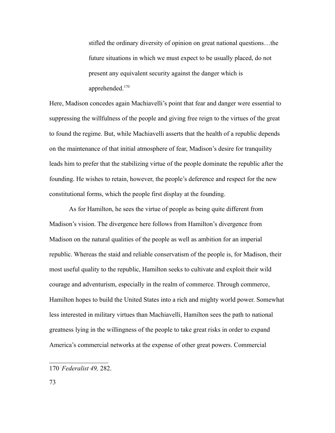stifled the ordinary diversity of opinion on great national questions…the future situations in which we must expect to be usually placed, do not present any equivalent security against the danger which is apprehended.<sup>[170](#page-72-0)</sup>

Here, Madison concedes again Machiavelli's point that fear and danger were essential to suppressing the willfulness of the people and giving free reign to the virtues of the great to found the regime. But, while Machiavelli asserts that the health of a republic depends on the maintenance of that initial atmosphere of fear, Madison's desire for tranquility leads him to prefer that the stabilizing virtue of the people dominate the republic after the founding. He wishes to retain, however, the people's deference and respect for the new constitutional forms, which the people first display at the founding.

As for Hamilton, he sees the virtue of people as being quite different from Madison's vision. The divergence here follows from Hamilton's divergence from Madison on the natural qualities of the people as well as ambition for an imperial republic. Whereas the staid and reliable conservatism of the people is, for Madison, their most useful quality to the republic, Hamilton seeks to cultivate and exploit their wild courage and adventurism, especially in the realm of commerce. Through commerce, Hamilton hopes to build the United States into a rich and mighty world power. Somewhat less interested in military virtues than Machiavelli, Hamilton sees the path to national greatness lying in the willingness of the people to take great risks in order to expand America's commercial networks at the expense of other great powers. Commercial

<span id="page-72-0"></span><sup>170</sup>-*Federalist 49,* 282.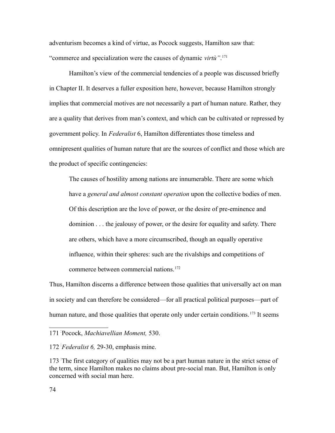adventurism becomes a kind of virtue, as Pocock suggests, Hamilton saw that: "commerce and specialization were the causes of dynamic *virtù"*. [171](#page-73-0)

Hamilton's view of the commercial tendencies of a people was discussed briefly in Chapter II. It deserves a fuller exposition here, however, because Hamilton strongly implies that commercial motives are not necessarily a part of human nature. Rather, they are a quality that derives from man's context, and which can be cultivated or repressed by government policy. In *Federalist* 6, Hamilton differentiates those timeless and omnipresent qualities of human nature that are the sources of conflict and those which are the product of specific contingencies:

The causes of hostility among nations are innumerable. There are some which have a *general and almost constant operation* upon the collective bodies of men. Of this description are the love of power, or the desire of pre-eminence and dominion . . . the jealousy of power, or the desire for equality and safety. There are others, which have a more circumscribed, though an equally operative influence, within their spheres: such are the rivalships and competitions of commerce between commercial nations.<sup>[172](#page-73-1)</sup>

Thus, Hamilton discerns a difference between those qualities that universally act on man in society and can therefore be considered—for all practical political purposes—part of human nature, and those qualities that operate only under certain conditions.<sup>[173](#page-73-2)</sup> It seems

<span id="page-73-0"></span><sup>171</sup>- Pocock, *Machiavellian Moment,* 530.

<span id="page-73-1"></span><sup>172</sup>-*Federalist 6,* 29-30, emphasis mine.

<span id="page-73-2"></span><sup>173</sup>- The first category of qualities may not be a part human nature in the strict sense of the term, since Hamilton makes no claims about pre-social man. But, Hamilton is only concerned with social man here.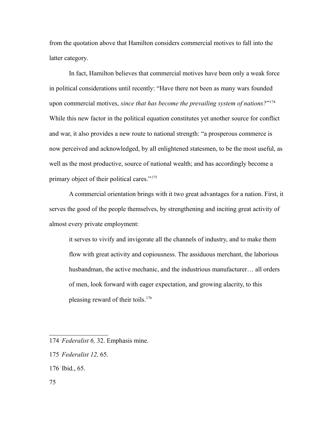from the quotation above that Hamilton considers commercial motives to fall into the latter category.

In fact, Hamilton believes that commercial motives have been only a weak force in political considerations until recently: "Have there not been as many wars founded upon commercial motives, *since that has become the prevailing system of nations?*" [174](#page-74-0) While this new factor in the political equation constitutes yet another source for conflict and war, it also provides a new route to national strength: "a prosperous commerce is now perceived and acknowledged, by all enlightened statesmen, to be the most useful, as well as the most productive, source of national wealth; and has accordingly become a primary object of their political cares."[175](#page-74-1)

A commercial orientation brings with it two great advantages for a nation. First, it serves the good of the people themselves, by strengthening and inciting great activity of almost every private employment:

it serves to vivify and invigorate all the channels of industry, and to make them flow with great activity and copiousness. The assiduous merchant, the laborious husbandman, the active mechanic, and the industrious manufacturer... all orders of men, look forward with eager expectation, and growing alacrity, to this pleasing reward of their toils.[176](#page-74-2)

<span id="page-74-0"></span><sup>174</sup>-*Federalist 6,* 32. Emphasis mine.

<span id="page-74-1"></span><sup>175</sup>-*Federalist 12,* 65.

<span id="page-74-2"></span><sup>176</sup>- Ibid., 65.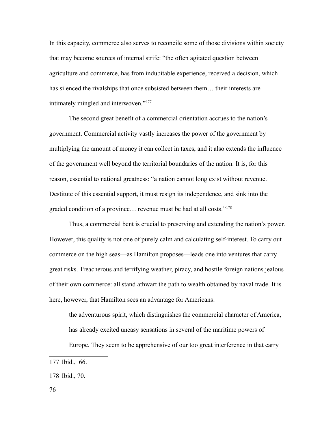In this capacity, commerce also serves to reconcile some of those divisions within society that may become sources of internal strife: "the often agitated question between agriculture and commerce, has from indubitable experience, received a decision, which has silenced the rivalships that once subsisted between them… their interests are intimately mingled and interwoven."[177](#page-75-0)

The second great benefit of a commercial orientation accrues to the nation's government. Commercial activity vastly increases the power of the government by multiplying the amount of money it can collect in taxes, and it also extends the influence of the government well beyond the territorial boundaries of the nation. It is, for this reason, essential to national greatness: "a nation cannot long exist without revenue. Destitute of this essential support, it must resign its independence, and sink into the graded condition of a province… revenue must be had at all costs."[178](#page-75-1)

Thus, a commercial bent is crucial to preserving and extending the nation's power. However, this quality is not one of purely calm and calculating self-interest. To carry out commerce on the high seas—as Hamilton proposes—leads one into ventures that carry great risks. Treacherous and terrifying weather, piracy, and hostile foreign nations jealous of their own commerce: all stand athwart the path to wealth obtained by naval trade. It is here, however, that Hamilton sees an advantage for Americans:

the adventurous spirit, which distinguishes the commercial character of America, has already excited uneasy sensations in several of the maritime powers of

Europe. They seem to be apprehensive of our too great interference in that carry

<span id="page-75-0"></span>177- Ibid., 66.

<span id="page-75-1"></span>178- Ibid., 70.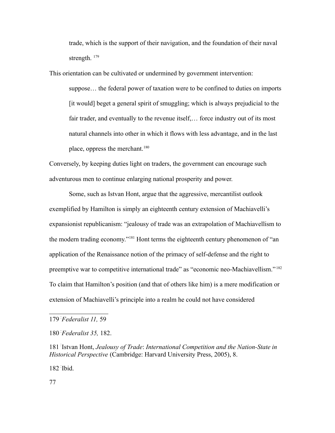trade, which is the support of their navigation, and the foundation of their naval strength.  $179$ 

This orientation can be cultivated or undermined by government intervention:

suppose… the federal power of taxation were to be confined to duties on imports [it would] beget a general spirit of smuggling; which is always prejudicial to the fair trader, and eventually to the revenue itself,… force industry out of its most natural channels into other in which it flows with less advantage, and in the last place, oppress the merchant. $180$ 

Conversely, by keeping duties light on traders, the government can encourage such adventurous men to continue enlarging national prosperity and power.

Some, such as Istvan Hont, argue that the aggressive, mercantilist outlook exemplified by Hamilton is simply an eighteenth century extension of Machiavelli's expansionist republicanism: "jealousy of trade was an extrapolation of Machiavellism to the modern trading economy."[181](#page-76-2) Hont terms the eighteenth century phenomenon of "an application of the Renaissance notion of the primacy of self-defense and the right to preemptive war to competitive international trade" as "economic neo-Machiavellism."<sup>[182](#page-76-3)</sup> To claim that Hamilton's position (and that of others like him) is a mere modification or extension of Machiavelli's principle into a realm he could not have considered

<span id="page-76-3"></span>182- Ibid.

77

<span id="page-76-0"></span><sup>179</sup>-*Federalist 11,* 59

<span id="page-76-1"></span><sup>180</sup>-*Federalist 35,* 182.

<span id="page-76-2"></span><sup>181</sup>- Istvan Hont, *Jealousy of Trade*: *International Competition and the Nation-State in Historical Perspective* (Cambridge: Harvard University Press, 2005), 8.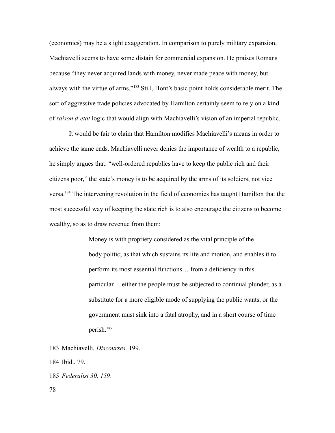(economics) may be a slight exaggeration. In comparison to purely military expansion, Machiavelli seems to have some distain for commercial expansion. He praises Romans because "they never acquired lands with money, never made peace with money, but always with the virtue of arms."[183](#page-77-0) Still, Hont's basic point holds considerable merit. The sort of aggressive trade policies advocated by Hamilton certainly seem to rely on a kind of *raison d'etat* logic that would align with Machiavelli's vision of an imperial republic.

It would be fair to claim that Hamilton modifies Machiavelli's means in order to achieve the same ends. Machiavelli never denies the importance of wealth to a republic, he simply argues that: "well-ordered republics have to keep the public rich and their citizens poor," the state's money is to be acquired by the arms of its soldiers, not vice versa.[184](#page-77-1) The intervening revolution in the field of economics has taught Hamilton that the most successful way of keeping the state rich is to also encourage the citizens to become wealthy, so as to draw revenue from them:

> Money is with propriety considered as the vital principle of the body politic; as that which sustains its life and motion, and enables it to perform its most essential functions… from a deficiency in this particular… either the people must be subjected to continual plunder, as a substitute for a more eligible mode of supplying the public wants, or the government must sink into a fatal atrophy, and in a short course of time perish.[185](#page-77-2)

<span id="page-77-1"></span>184- Ibid., 79.

<span id="page-77-0"></span><sup>183</sup>- Machiavelli, *Discourses,* 199.

<span id="page-77-2"></span><sup>185</sup>-*Federalist 30, 159*.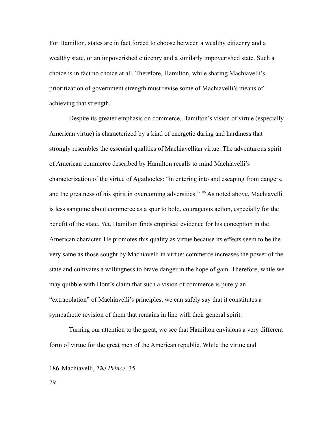For Hamilton, states are in fact forced to choose between a wealthy citizenry and a wealthy state, or an impoverished citizenry and a similarly impoverished state. Such a choice is in fact no choice at all. Therefore, Hamilton, while sharing Machiavelli's prioritization of government strength must revise some of Machiavelli's means of achieving that strength.

Despite its greater emphasis on commerce, Hamilton's vision of virtue (especially American virtue) is characterized by a kind of energetic daring and hardiness that strongly resembles the essential qualities of Machiavellian virtue. The adventurous spirit of American commerce described by Hamilton recalls to mind Machiavelli's characterization of the virtue of Agathocles: "in entering into and escaping from dangers, and the greatness of his spirit in overcoming adversities."[186](#page-78-0) As noted above, Machiavelli is less sanguine about commerce as a spur to bold, courageous action, especially for the benefit of the state. Yet, Hamilton finds empirical evidence for his conception in the American character. He promotes this quality as virtue because its effects seem to be the very same as those sought by Machiavelli in virtue: commerce increases the power of the state and cultivates a willingness to brave danger in the hope of gain. Therefore, while we may quibble with Hont's claim that such a vision of commerce is purely an "extrapolation" of Machiavelli's principles, we can safely say that it constitutes a sympathetic revision of them that remains in line with their general spirit.

Turning our attention to the great, we see that Hamilton envisions a very different form of virtue for the great men of the American republic. While the virtue and

<span id="page-78-0"></span><sup>186</sup>- Machiavelli, *The Prince,* 35.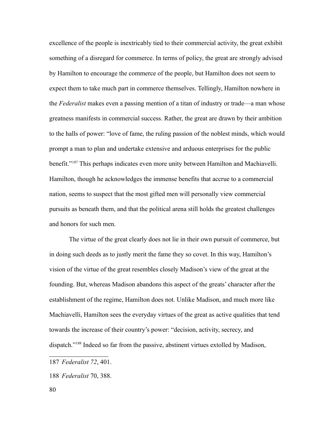excellence of the people is inextricably tied to their commercial activity, the great exhibit something of a disregard for commerce. In terms of policy, the great are strongly advised by Hamilton to encourage the commerce of the people, but Hamilton does not seem to expect them to take much part in commerce themselves. Tellingly, Hamilton nowhere in the *Federalist* makes even a passing mention of a titan of industry or trade—a man whose greatness manifests in commercial success. Rather, the great are drawn by their ambition to the halls of power: "love of fame, the ruling passion of the noblest minds, which would prompt a man to plan and undertake extensive and arduous enterprises for the public benefit."[187](#page-79-0) This perhaps indicates even more unity between Hamilton and Machiavelli. Hamilton, though he acknowledges the immense benefits that accrue to a commercial nation, seems to suspect that the most gifted men will personally view commercial pursuits as beneath them, and that the political arena still holds the greatest challenges and honors for such men.

The virtue of the great clearly does not lie in their own pursuit of commerce, but in doing such deeds as to justly merit the fame they so covet. In this way, Hamilton's vision of the virtue of the great resembles closely Madison's view of the great at the founding. But, whereas Madison abandons this aspect of the greats' character after the establishment of the regime, Hamilton does not. Unlike Madison, and much more like Machiavelli, Hamilton sees the everyday virtues of the great as active qualities that tend towards the increase of their country's power: "decision, activity, secrecy, and dispatch."[188](#page-79-1) Indeed so far from the passive, abstinent virtues extolled by Madison,

<span id="page-79-0"></span><sup>187</sup>-*Federalist 72*, 401.

<span id="page-79-1"></span><sup>188</sup>-*Federalist* 70, 388.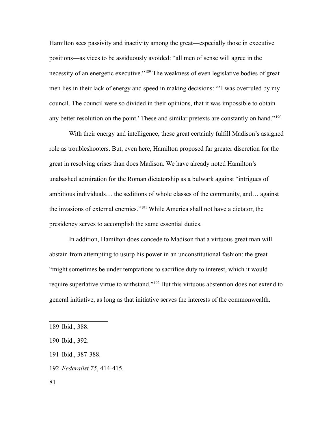Hamilton sees passivity and inactivity among the great—especially those in executive positions—as vices to be assiduously avoided: "all men of sense will agree in the necessity of an energetic executive."[189](#page-80-0) The weakness of even legislative bodies of great men lies in their lack of energy and speed in making decisions: "'I was overruled by my council. The council were so divided in their opinions, that it was impossible to obtain any better resolution on the point.' These and similar pretexts are constantly on hand."<sup>[190](#page-80-1)</sup>

With their energy and intelligence, these great certainly fulfill Madison's assigned role as troubleshooters. But, even here, Hamilton proposed far greater discretion for the great in resolving crises than does Madison. We have already noted Hamilton's unabashed admiration for the Roman dictatorship as a bulwark against "intrigues of ambitious individuals… the seditions of whole classes of the community, and… against the invasions of external enemies."[191](#page-80-2) While America shall not have a dictator, the presidency serves to accomplish the same essential duties.

In addition, Hamilton does concede to Madison that a virtuous great man will abstain from attempting to usurp his power in an unconstitutional fashion: the great "might sometimes be under temptations to sacrifice duty to interest, which it would require superlative virtue to withstand."[192](#page-80-3) But this virtuous abstention does not extend to general initiative, as long as that initiative serves the interests of the commonwealth.

- <span id="page-80-3"></span>192-*Federalist 75*, 414-415.
- 81

<span id="page-80-0"></span><sup>189</sup>- Ibid., 388.

<span id="page-80-1"></span><sup>190</sup>- Ibid., 392.

<span id="page-80-2"></span><sup>191</sup>- Ibid., 387-388.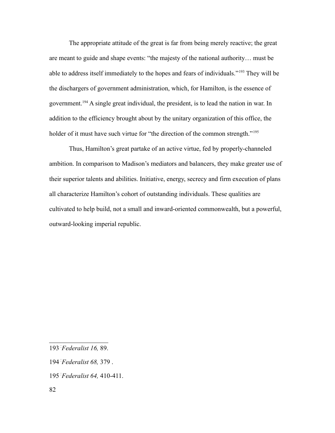The appropriate attitude of the great is far from being merely reactive; the great are meant to guide and shape events: "the majesty of the national authority… must be able to address itself immediately to the hopes and fears of individuals."[193](#page-81-0) They will be the dischargers of government administration, which, for Hamilton, is the essence of government.[194](#page-81-1) A single great individual, the president, is to lead the nation in war. In addition to the efficiency brought about by the unitary organization of this office, the holder of it must have such virtue for "the direction of the common strength."<sup>[195](#page-81-2)</sup>

Thus, Hamilton's great partake of an active virtue, fed by properly-channeled ambition. In comparison to Madison's mediators and balancers, they make greater use of their superior talents and abilities. Initiative, energy, secrecy and firm execution of plans all characterize Hamilton's cohort of outstanding individuals. These qualities are cultivated to help build, not a small and inward-oriented commonwealth, but a powerful, outward-looking imperial republic.

<span id="page-81-0"></span><sup>193</sup>-*Federalist 16,* 89.

<span id="page-81-1"></span><sup>194</sup>- *Federalist 68,* 379 .

<span id="page-81-2"></span><sup>195</sup>-*Federalist 64,* 410-411.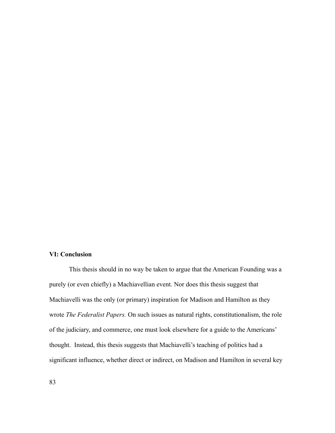## **VI: Conclusion**

This thesis should in no way be taken to argue that the American Founding was a purely (or even chiefly) a Machiavellian event. Nor does this thesis suggest that Machiavelli was the only (or primary) inspiration for Madison and Hamilton as they wrote *The Federalist Papers.* On such issues as natural rights, constitutionalism, the role of the judiciary, and commerce, one must look elsewhere for a guide to the Americans' thought. Instead, this thesis suggests that Machiavelli's teaching of politics had a significant influence, whether direct or indirect, on Madison and Hamilton in several key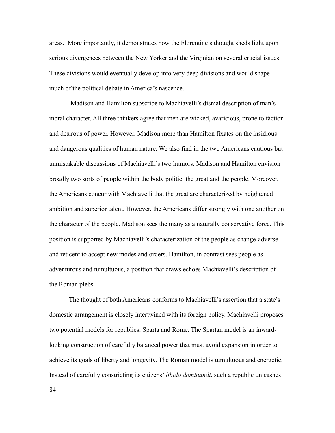areas. More importantly, it demonstrates how the Florentine's thought sheds light upon serious divergences between the New Yorker and the Virginian on several crucial issues. These divisions would eventually develop into very deep divisions and would shape much of the political debate in America's nascence.

 Madison and Hamilton subscribe to Machiavelli's dismal description of man's moral character. All three thinkers agree that men are wicked, avaricious, prone to faction and desirous of power. However, Madison more than Hamilton fixates on the insidious and dangerous qualities of human nature. We also find in the two Americans cautious but unmistakable discussions of Machiavelli's two humors. Madison and Hamilton envision broadly two sorts of people within the body politic: the great and the people. Moreover, the Americans concur with Machiavelli that the great are characterized by heightened ambition and superior talent. However, the Americans differ strongly with one another on the character of the people. Madison sees the many as a naturally conservative force. This position is supported by Machiavelli's characterization of the people as change-adverse and reticent to accept new modes and orders. Hamilton, in contrast sees people as adventurous and tumultuous, a position that draws echoes Machiavelli's description of the Roman plebs.

The thought of both Americans conforms to Machiavelli's assertion that a state's domestic arrangement is closely intertwined with its foreign policy. Machiavelli proposes two potential models for republics: Sparta and Rome. The Spartan model is an inwardlooking construction of carefully balanced power that must avoid expansion in order to achieve its goals of liberty and longevity. The Roman model is tumultuous and energetic. Instead of carefully constricting its citizens' *libido dominandi*, such a republic unleashes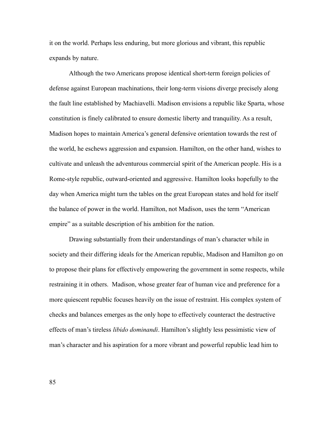it on the world. Perhaps less enduring, but more glorious and vibrant, this republic expands by nature.

Although the two Americans propose identical short-term foreign policies of defense against European machinations, their long-term visions diverge precisely along the fault line established by Machiavelli. Madison envisions a republic like Sparta, whose constitution is finely calibrated to ensure domestic liberty and tranquility. As a result, Madison hopes to maintain America's general defensive orientation towards the rest of the world, he eschews aggression and expansion. Hamilton, on the other hand, wishes to cultivate and unleash the adventurous commercial spirit of the American people. His is a Rome-style republic, outward-oriented and aggressive. Hamilton looks hopefully to the day when America might turn the tables on the great European states and hold for itself the balance of power in the world. Hamilton, not Madison, uses the term "American empire" as a suitable description of his ambition for the nation.

Drawing substantially from their understandings of man's character while in society and their differing ideals for the American republic, Madison and Hamilton go on to propose their plans for effectively empowering the government in some respects, while restraining it in others. Madison, whose greater fear of human vice and preference for a more quiescent republic focuses heavily on the issue of restraint. His complex system of checks and balances emerges as the only hope to effectively counteract the destructive effects of man's tireless *libido dominandi*. Hamilton's slightly less pessimistic view of man's character and his aspiration for a more vibrant and powerful republic lead him to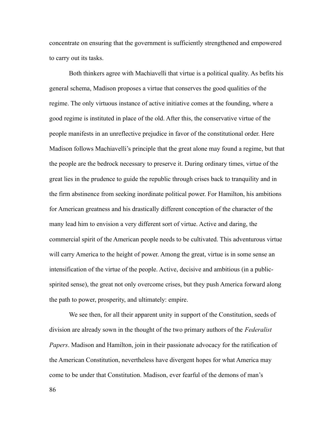concentrate on ensuring that the government is sufficiently strengthened and empowered to carry out its tasks.

Both thinkers agree with Machiavelli that virtue is a political quality. As befits his general schema, Madison proposes a virtue that conserves the good qualities of the regime. The only virtuous instance of active initiative comes at the founding, where a good regime is instituted in place of the old. After this, the conservative virtue of the people manifests in an unreflective prejudice in favor of the constitutional order. Here Madison follows Machiavelli's principle that the great alone may found a regime, but that the people are the bedrock necessary to preserve it. During ordinary times, virtue of the great lies in the prudence to guide the republic through crises back to tranquility and in the firm abstinence from seeking inordinate political power. For Hamilton, his ambitions for American greatness and his drastically different conception of the character of the many lead him to envision a very different sort of virtue. Active and daring, the commercial spirit of the American people needs to be cultivated. This adventurous virtue will carry America to the height of power. Among the great, virtue is in some sense an intensification of the virtue of the people. Active, decisive and ambitious (in a publicspirited sense), the great not only overcome crises, but they push America forward along the path to power, prosperity, and ultimately: empire.

We see then, for all their apparent unity in support of the Constitution, seeds of division are already sown in the thought of the two primary authors of the *Federalist Papers*. Madison and Hamilton, join in their passionate advocacy for the ratification of the American Constitution, nevertheless have divergent hopes for what America may come to be under that Constitution. Madison, ever fearful of the demons of man's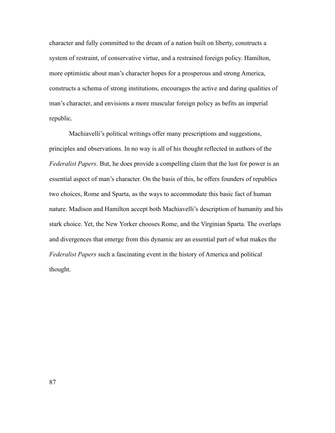character and fully committed to the dream of a nation built on liberty, constructs a system of restraint, of conservative virtue, and a restrained foreign policy. Hamilton, more optimistic about man's character hopes for a prosperous and strong America, constructs a schema of strong institutions, encourages the active and daring qualities of man's character, and envisions a more muscular foreign policy as befits an imperial republic.

Machiavelli's political writings offer many prescriptions and suggestions, principles and observations. In no way is all of his thought reflected in authors of the *Federalist Papers*. But, he does provide a compelling claim that the lust for power is an essential aspect of man's character. On the basis of this, he offers founders of republics two choices, Rome and Sparta, as the ways to accommodate this basic fact of human nature. Madison and Hamilton accept both Machiavelli's description of humanity and his stark choice. Yet, the New Yorker chooses Rome, and the Virginian Sparta. The overlaps and divergences that emerge from this dynamic are an essential part of what makes the *Federalist Papers* such a fascinating event in the history of America and political thought.